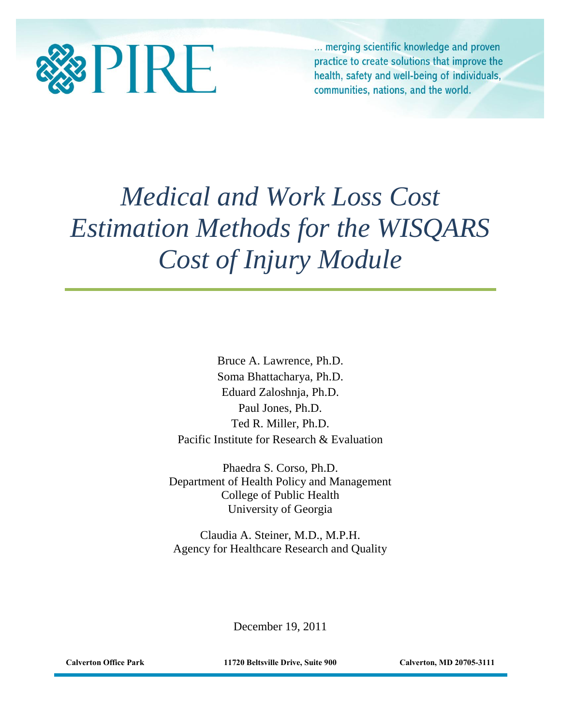

... merging scientific knowledge and proven practice to create solutions that improve the health, safety and well-being of individuals, communities, nations, and the world.

# *Medical and Work Loss Cost Estimation Methods for the WISQARS Cost of Injury Module*

Bruce A. Lawrence, Ph.D. Soma Bhattacharya, Ph.D. Eduard Zaloshnja, Ph.D. Paul Jones, Ph.D. Ted R. Miller, Ph.D. Pacific Institute for Research & Evaluation

Phaedra S. Corso, Ph.D. Department of Health Policy and Management College of Public Health University of Georgia

Claudia A. Steiner, M.D., M.P.H. Agency for Healthcare Research and Quality

December 19, 2011

**Calverton Office Park 11720 Beltsville Drive, Suite 900 Calverton, MD 20705-3111**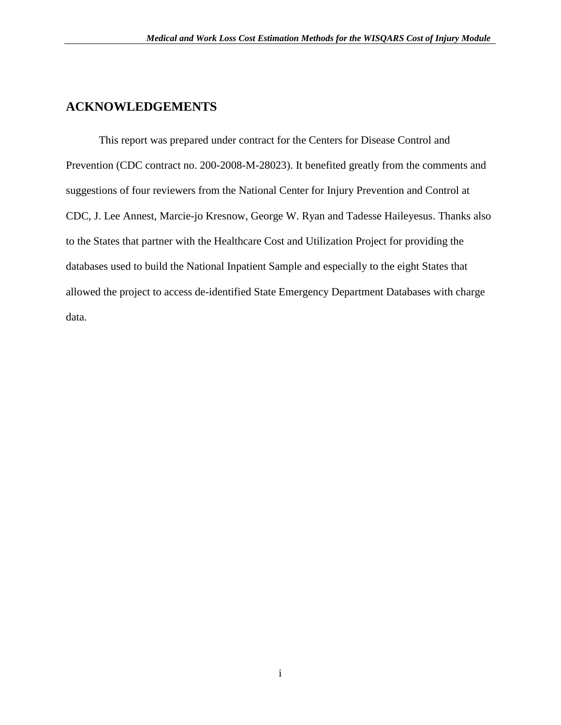## **ACKNOWLEDGEMENTS**

This report was prepared under contract for the Centers for Disease Control and Prevention (CDC contract no. 200-2008-M-28023). It benefited greatly from the comments and suggestions of four reviewers from the National Center for Injury Prevention and Control at CDC, J. Lee Annest, Marcie-jo Kresnow, George W. Ryan and Tadesse Haileyesus. Thanks also to the States that partner with the Healthcare Cost and Utilization Project for providing the databases used to build the National Inpatient Sample and especially to the eight States that allowed the project to access de-identified State Emergency Department Databases with charge data.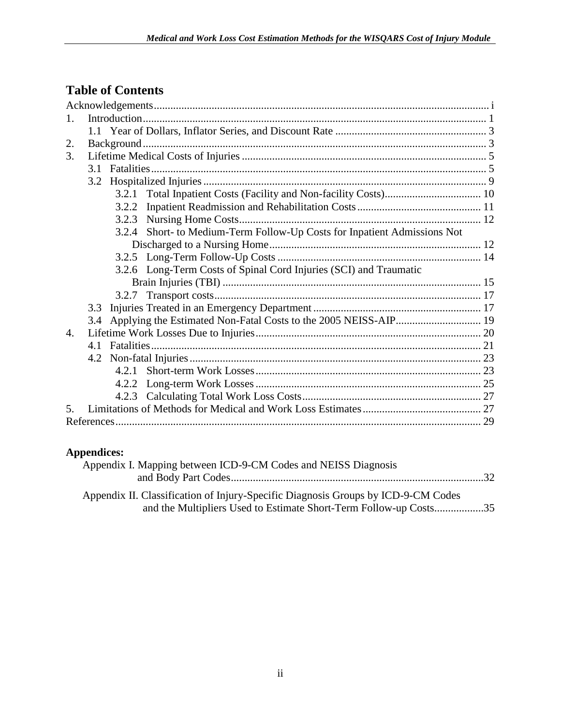# **Table of Contents**

| $\mathbf{1}$ .   |                                                                          |       |                                                                     |  |  |
|------------------|--------------------------------------------------------------------------|-------|---------------------------------------------------------------------|--|--|
|                  |                                                                          |       |                                                                     |  |  |
| 2.               |                                                                          |       |                                                                     |  |  |
| 3.               |                                                                          |       |                                                                     |  |  |
|                  |                                                                          |       |                                                                     |  |  |
|                  |                                                                          |       |                                                                     |  |  |
|                  |                                                                          | 3.2.1 |                                                                     |  |  |
|                  |                                                                          | 3.2.2 |                                                                     |  |  |
|                  |                                                                          | 3.2.3 |                                                                     |  |  |
|                  | 3.2.4 Short- to Medium-Term Follow-Up Costs for Inpatient Admissions Not |       |                                                                     |  |  |
|                  |                                                                          |       |                                                                     |  |  |
|                  |                                                                          |       |                                                                     |  |  |
|                  |                                                                          |       | 3.2.6 Long-Term Costs of Spinal Cord Injuries (SCI) and Traumatic   |  |  |
|                  |                                                                          |       |                                                                     |  |  |
|                  |                                                                          |       |                                                                     |  |  |
|                  | 3.3                                                                      |       |                                                                     |  |  |
|                  |                                                                          |       | 3.4 Applying the Estimated Non-Fatal Costs to the 2005 NEISS-AIP 19 |  |  |
| $\overline{4}$ . |                                                                          |       |                                                                     |  |  |
|                  |                                                                          |       |                                                                     |  |  |
|                  |                                                                          |       |                                                                     |  |  |
|                  |                                                                          |       |                                                                     |  |  |
|                  |                                                                          | 4.2.2 |                                                                     |  |  |
|                  |                                                                          |       |                                                                     |  |  |
| 5.               |                                                                          |       |                                                                     |  |  |
|                  |                                                                          |       |                                                                     |  |  |

## **Appendices:**

| Appendix I. Mapping between ICD-9-CM Codes and NEISS Diagnosis                                                                                         |  |
|--------------------------------------------------------------------------------------------------------------------------------------------------------|--|
| Appendix II. Classification of Injury-Specific Diagnosis Groups by ICD-9-CM Codes<br>and the Multipliers Used to Estimate Short-Term Follow-up Costs35 |  |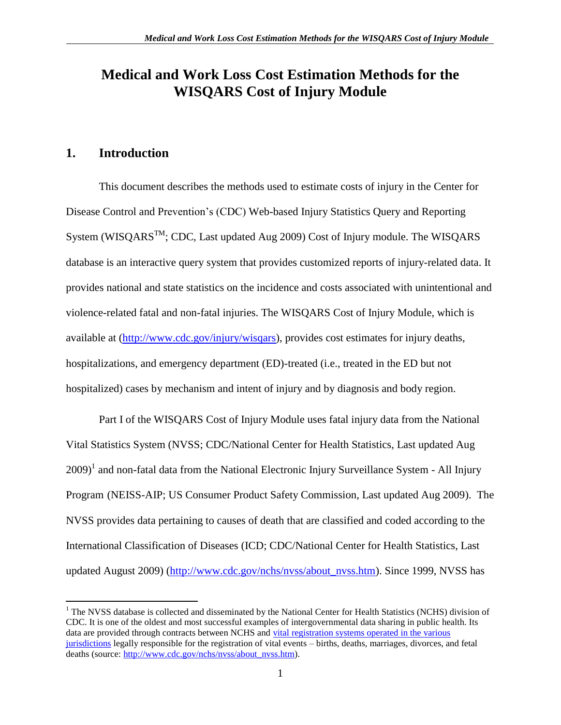# **Medical and Work Loss Cost Estimation Methods for the WISQARS Cost of Injury Module**

## <span id="page-3-0"></span>**1. Introduction**

 $\overline{a}$ 

This document describes the methods used to estimate costs of injury in the Center for Disease Control and Prevention's (CDC) Web-based Injury Statistics Query and Reporting System (WISQARS<sup>TM</sup>; CDC, Last updated Aug 2009) Cost of Injury module. The WISQARS database is an interactive query system that provides customized reports of injury-related data. It provides national and state statistics on the incidence and costs associated with unintentional and violence-related fatal and non-fatal injuries. The WISQARS Cost of Injury Module, which is available at [\(http://www.cdc.gov/injury/wisqars\)](http://www.cdc.gov/injury/wisqars), provides cost estimates for injury deaths, hospitalizations, and emergency department (ED)-treated (i.e., treated in the ED but not hospitalized) cases by mechanism and intent of injury and by diagnosis and body region.

Part I of the WISQARS Cost of Injury Module uses fatal injury data from the National Vital Statistics System (NVSS; CDC/National Center for Health Statistics, Last updated Aug  $2009$ <sup>1</sup> and non-fatal data from the National Electronic Injury Surveillance System - All Injury Program (NEISS-AIP; US Consumer Product Safety Commission, Last updated Aug 2009). The NVSS provides data pertaining to causes of death that are classified and coded according to the International Classification of Diseases (ICD; CDC/National Center for Health Statistics, Last updated August 2009) [\(http://www.cdc.gov/nchs/nvss/about\\_nvss.htm\)](http://www.cdc.gov/nchs/nvss/about_nvss.htm). Since 1999, NVSS has

<sup>&</sup>lt;sup>1</sup> The NVSS database is collected and disseminated by the National Center for Health Statistics (NCHS) division of CDC. It is one of the oldest and most successful examples of intergovernmental data sharing in public health. Its data are provided through contracts between NCHS and [vital registration systems operated in the various](http://www.cdc.gov/nchs/nvss/state_health_departments.htm)  [jurisdictions](http://www.cdc.gov/nchs/nvss/state_health_departments.htm) legally responsible for the registration of vital events – births, deaths, marriages, divorces, and fetal deaths (source: [http://www.cdc.gov/nchs/nvss/about\\_nvss.htm\)](http://www.cdc.gov/nchs/nvss/about_nvss.htm).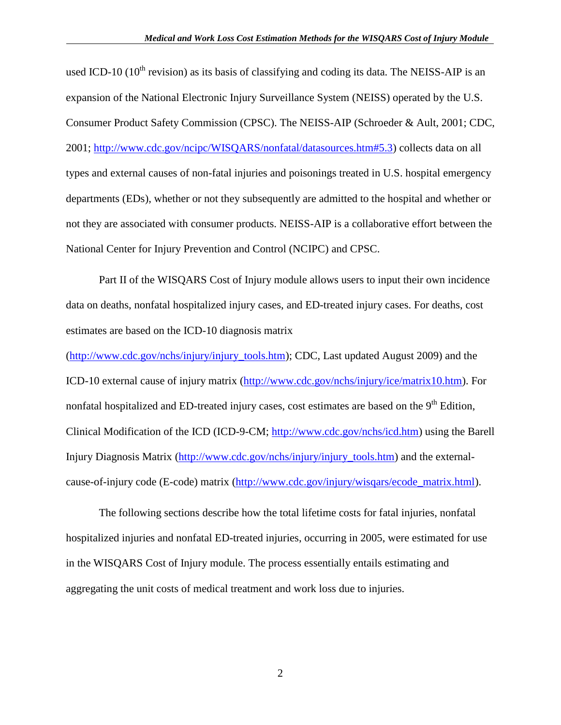used ICD-10 ( $10^{th}$  revision) as its basis of classifying and coding its data. The NEISS-AIP is an expansion of the National Electronic Injury Surveillance System (NEISS) operated by the U.S. Consumer Product Safety Commission (CPSC). The NEISS-AIP (Schroeder & Ault, 2001; CDC, 2001; [http://www.cdc.gov/ncipc/WISQARS/nonfatal/datasources.htm#5.3\)](http://www.cdc.gov/ncipc/WISQARS/nonfatal/datasources.htm#5.3) collects data on all types and external causes of non-fatal injuries and poisonings treated in U.S. hospital emergency departments (EDs), whether or not they subsequently are admitted to the hospital and whether or not they are associated with consumer products. NEISS-AIP is a collaborative effort between the National Center for Injury Prevention and Control (NCIPC) and CPSC.

Part II of the WISQARS Cost of Injury module allows users to input their own incidence data on deaths, nonfatal hospitalized injury cases, and ED-treated injury cases. For deaths, cost estimates are based on the ICD-10 diagnosis matrix

[\(http://www.cdc.gov/nchs/injury/injury\\_tools.htm\)](http://www.cdc.gov/nchs/injury/injury_tools.htm); CDC, Last updated August 2009) and the ICD-10 external cause of injury matrix [\(http://www.cdc.gov/nchs/injury/ice/matrix10.htm\)](http://www.cdc.gov/nchs/injury/ice/matrix10.htm). For nonfatal hospitalized and ED-treated injury cases, cost estimates are based on the  $9<sup>th</sup>$  Edition, Clinical Modification of the ICD (ICD-9-CM; [http://www.cdc.gov/nchs/icd.htm\)](http://www.cdc.gov/nchs/icd.htm) using the Barell Injury Diagnosis Matrix [\(http://www.cdc.gov/nchs/injury/injury\\_tools.htm\)](http://www.cdc.gov/nchs/injury/injury_tools.htm) and the externalcause-of-injury code (E-code) matrix [\(http://www.cdc.gov/injury/wisqars/ecode\\_matrix.html\)](http://www.cdc.gov/injury/wisqars/ecode_matrix.html).

The following sections describe how the total lifetime costs for fatal injuries, nonfatal hospitalized injuries and nonfatal ED-treated injuries, occurring in 2005, were estimated for use in the WISQARS Cost of Injury module. The process essentially entails estimating and aggregating the unit costs of medical treatment and work loss due to injuries.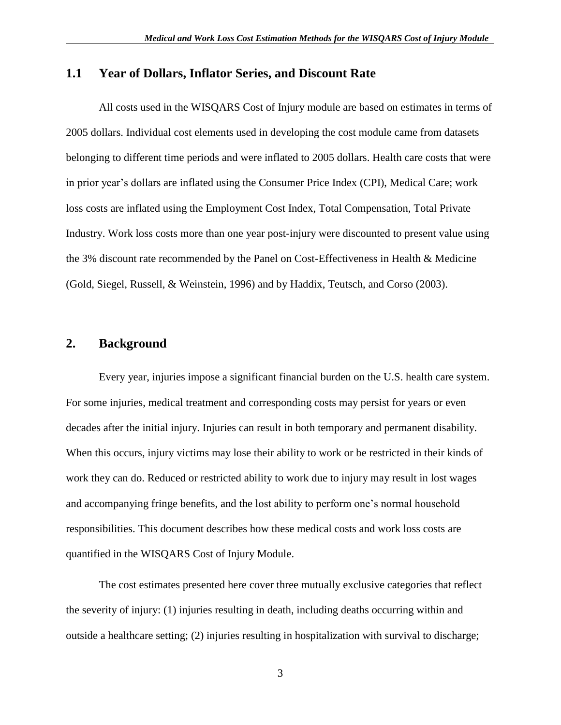#### <span id="page-5-0"></span>**1.1 Year of Dollars, Inflator Series, and Discount Rate**

All costs used in the WISQARS Cost of Injury module are based on estimates in terms of 2005 dollars. Individual cost elements used in developing the cost module came from datasets belonging to different time periods and were inflated to 2005 dollars. Health care costs that were in prior year's dollars are inflated using the Consumer Price Index (CPI), Medical Care; work loss costs are inflated using the Employment Cost Index, Total Compensation, Total Private Industry. Work loss costs more than one year post-injury were discounted to present value using the 3% discount rate recommended by the Panel on Cost-Effectiveness in Health & Medicine (Gold, Siegel, Russell, & Weinstein, 1996) and by Haddix, Teutsch, and Corso (2003).

#### <span id="page-5-1"></span>**2. Background**

Every year, injuries impose a significant financial burden on the U.S. health care system. For some injuries, medical treatment and corresponding costs may persist for years or even decades after the initial injury. Injuries can result in both temporary and permanent disability. When this occurs, injury victims may lose their ability to work or be restricted in their kinds of work they can do. Reduced or restricted ability to work due to injury may result in lost wages and accompanying fringe benefits, and the lost ability to perform one's normal household responsibilities. This document describes how these medical costs and work loss costs are quantified in the WISQARS Cost of Injury Module.

The cost estimates presented here cover three mutually exclusive categories that reflect the severity of injury: (1) injuries resulting in death, including deaths occurring within and outside a healthcare setting; (2) injuries resulting in hospitalization with survival to discharge;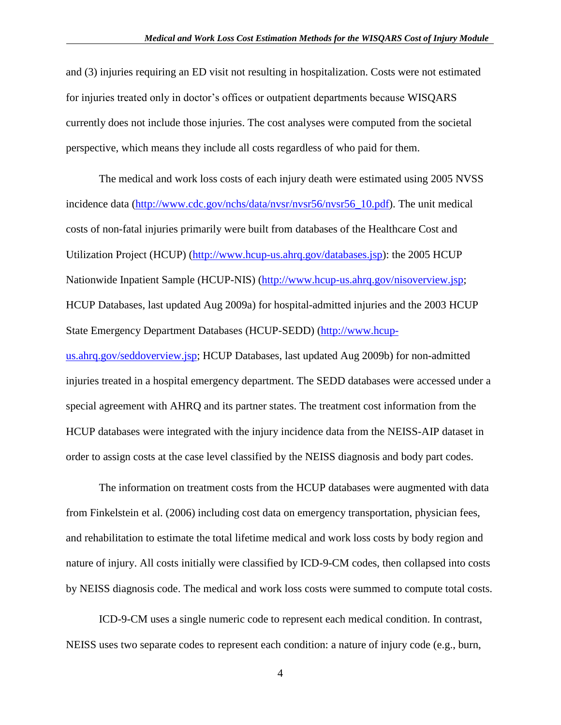and (3) injuries requiring an ED visit not resulting in hospitalization. Costs were not estimated for injuries treated only in doctor's offices or outpatient departments because WISQARS currently does not include those injuries. The cost analyses were computed from the societal perspective, which means they include all costs regardless of who paid for them.

The medical and work loss costs of each injury death were estimated using 2005 NVSS incidence data [\(http://www.cdc.gov/nchs/data/nvsr/nvsr56/nvsr56\\_10.pdf\)](http://www.cdc.gov/nchs/data/nvsr/nvsr56/nvsr56_10.pdf). The unit medical costs of non-fatal injuries primarily were built from databases of the Healthcare Cost and Utilization Project (HCUP) [\(http://www.hcup-us.ahrq.gov/databases.jsp\)](http://www.hcup-us.ahrq.gov/databases.jsp): the 2005 HCUP Nationwide Inpatient Sample (HCUP-NIS) [\(http://www.hcup-us.ahrq.gov/nisoverview.jsp;](http://www.hcup-us.ahrq.gov/nisoverview.jsp) HCUP Databases, last updated Aug 2009a) for hospital-admitted injuries and the 2003 HCUP State Emergency Department Databases (HCUP-SEDD) [\(http://www.hcup](http://www.hcup-us.ahrq.gov/seddoverview.jsp)[us.ahrq.gov/seddoverview.jsp;](http://www.hcup-us.ahrq.gov/seddoverview.jsp) HCUP Databases, last updated Aug 2009b) for non-admitted injuries treated in a hospital emergency department. The SEDD databases were accessed under a special agreement with AHRQ and its partner states. The treatment cost information from the HCUP databases were integrated with the injury incidence data from the NEISS-AIP dataset in order to assign costs at the case level classified by the NEISS diagnosis and body part codes.

The information on treatment costs from the HCUP databases were augmented with data from Finkelstein et al. (2006) including cost data on emergency transportation, physician fees, and rehabilitation to estimate the total lifetime medical and work loss costs by body region and nature of injury. All costs initially were classified by ICD-9-CM codes, then collapsed into costs by NEISS diagnosis code. The medical and work loss costs were summed to compute total costs.

ICD-9-CM uses a single numeric code to represent each medical condition. In contrast, NEISS uses two separate codes to represent each condition: a nature of injury code (e.g., burn,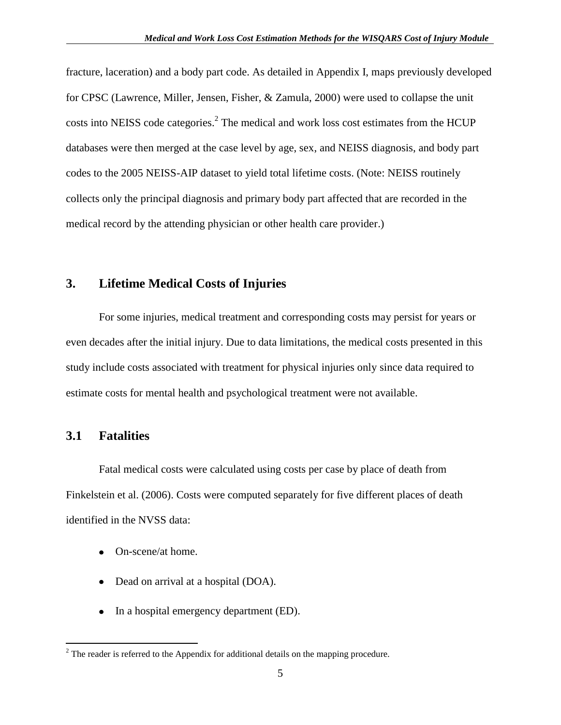fracture, laceration) and a body part code. As detailed in Appendix I, maps previously developed for CPSC (Lawrence, Miller, Jensen, Fisher, & Zamula, 2000) were used to collapse the unit costs into NEISS code categories. $<sup>2</sup>$  The medical and work loss cost estimates from the HCUP</sup> databases were then merged at the case level by age, sex, and NEISS diagnosis, and body part codes to the 2005 NEISS-AIP dataset to yield total lifetime costs. (Note: NEISS routinely collects only the principal diagnosis and primary body part affected that are recorded in the medical record by the attending physician or other health care provider.)

## <span id="page-7-0"></span>**3. Lifetime Medical Costs of Injuries**

For some injuries, medical treatment and corresponding costs may persist for years or even decades after the initial injury. Due to data limitations, the medical costs presented in this study include costs associated with treatment for physical injuries only since data required to estimate costs for mental health and psychological treatment were not available.

#### <span id="page-7-1"></span>**3.1 Fatalities**

 $\overline{a}$ 

Fatal medical costs were calculated using costs per case by place of death from Finkelstein et al. (2006). Costs were computed separately for five different places of death identified in the NVSS data:

- On-scene/at home.  $\bullet$
- Dead on arrival at a hospital (DOA).
- In a hospital emergency department (ED).

 $2^{2}$  The reader is referred to the Appendix for additional details on the mapping procedure.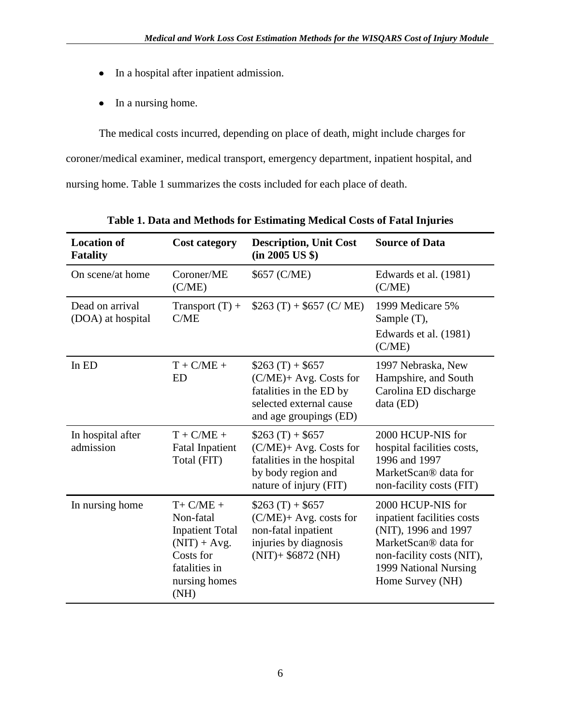- In a hospital after inpatient admission.
- In a nursing home.

The medical costs incurred, depending on place of death, might include charges for coroner/medical examiner, medical transport, emergency department, inpatient hospital, and nursing home. Table 1 summarizes the costs included for each place of death.

| <b>Location of</b><br><b>Fatality</b> | <b>Cost category</b>                                                                                                         | <b>Description, Unit Cost</b><br>(in 2005 US \$)                                                                            | <b>Source of Data</b>                                                                                                                                                     |
|---------------------------------------|------------------------------------------------------------------------------------------------------------------------------|-----------------------------------------------------------------------------------------------------------------------------|---------------------------------------------------------------------------------------------------------------------------------------------------------------------------|
| On scene/at home                      | Coroner/ME<br>(C/ME)                                                                                                         | \$657 (C/ME)                                                                                                                | Edwards et al. (1981)<br>(C/ME)                                                                                                                                           |
| Dead on arrival<br>(DOA) at hospital  | Transport $(T)$ +<br>C/ME                                                                                                    | $$263(T) + $657(C/ME)$                                                                                                      | 1999 Medicare 5%<br>Sample (T),<br>Edwards et al. (1981)<br>(C/ME)                                                                                                        |
| In ED                                 | $T + C/ME +$<br><b>ED</b>                                                                                                    | $$263(T) + $657$<br>(C/ME)+ Avg. Costs for<br>fatalities in the ED by<br>selected external cause<br>and age groupings (ED)  | 1997 Nebraska, New<br>Hampshire, and South<br>Carolina ED discharge<br>data (ED)                                                                                          |
| In hospital after<br>admission        | $T + C/ME +$<br><b>Fatal Inpatient</b><br>Total (FIT)                                                                        | $$263(T) + $657$<br>$(C/ME)$ + Avg. Costs for<br>fatalities in the hospital<br>by body region and<br>nature of injury (FIT) | 2000 HCUP-NIS for<br>hospital facilities costs,<br>1996 and 1997<br>MarketScan® data for<br>non-facility costs (FIT)                                                      |
| In nursing home                       | $T + C/ME +$<br>Non-fatal<br><b>Inpatient Total</b><br>$(NIT) + Avg.$<br>Costs for<br>fatalities in<br>nursing homes<br>(NH) | $$263(T) + $657$<br>$(C/ME)$ + Avg. costs for<br>non-fatal inpatient<br>injuries by diagnosis<br>$(NIT)$ + \$6872 (NH)      | 2000 HCUP-NIS for<br>inpatient facilities costs<br>(NIT), 1996 and 1997<br>MarketScan® data for<br>non-facility costs (NIT),<br>1999 National Nursing<br>Home Survey (NH) |

**Table 1. Data and Methods for Estimating Medical Costs of Fatal Injuries**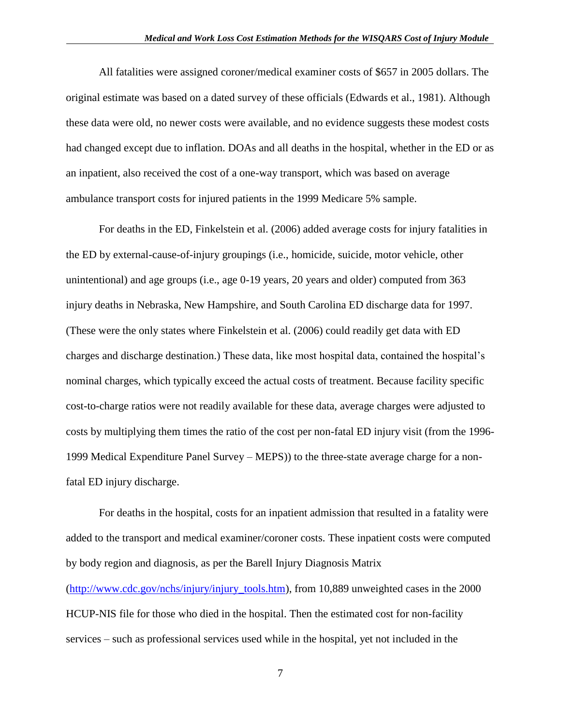All fatalities were assigned coroner/medical examiner costs of \$657 in 2005 dollars. The original estimate was based on a dated survey of these officials (Edwards et al., 1981). Although these data were old, no newer costs were available, and no evidence suggests these modest costs had changed except due to inflation. DOAs and all deaths in the hospital, whether in the ED or as an inpatient, also received the cost of a one-way transport, which was based on average ambulance transport costs for injured patients in the 1999 Medicare 5% sample.

For deaths in the ED, Finkelstein et al. (2006) added average costs for injury fatalities in the ED by external-cause-of-injury groupings (i.e., homicide, suicide, motor vehicle, other unintentional) and age groups (i.e., age 0-19 years, 20 years and older) computed from 363 injury deaths in Nebraska, New Hampshire, and South Carolina ED discharge data for 1997. (These were the only states where Finkelstein et al. (2006) could readily get data with ED charges and discharge destination.) These data, like most hospital data, contained the hospital's nominal charges, which typically exceed the actual costs of treatment. Because facility specific cost-to-charge ratios were not readily available for these data, average charges were adjusted to costs by multiplying them times the ratio of the cost per non-fatal ED injury visit (from the 1996- 1999 Medical Expenditure Panel Survey – MEPS)) to the three-state average charge for a nonfatal ED injury discharge.

For deaths in the hospital, costs for an inpatient admission that resulted in a fatality were added to the transport and medical examiner/coroner costs. These inpatient costs were computed by body region and diagnosis, as per the Barell Injury Diagnosis Matrix [\(http://www.cdc.gov/nchs/injury/injury\\_tools.htm\)](http://www.cdc.gov/nchs/injury/injury_tools.htm), from 10,889 unweighted cases in the 2000 HCUP-NIS file for those who died in the hospital. Then the estimated cost for non-facility services – such as professional services used while in the hospital, yet not included in the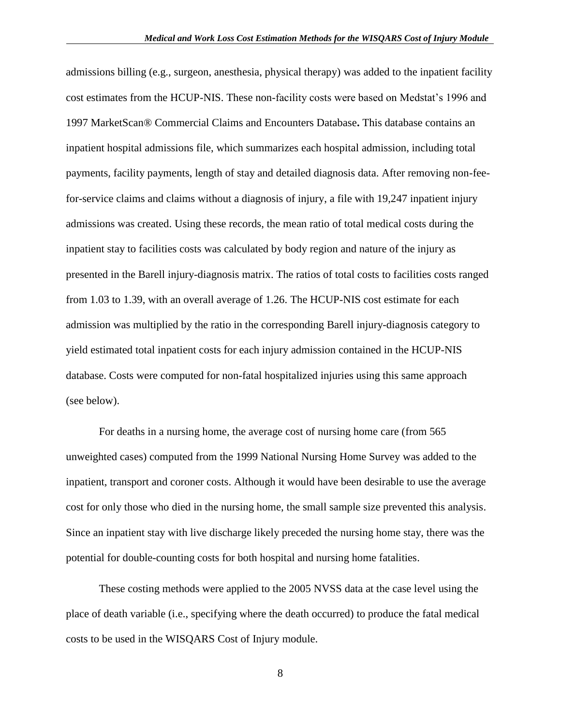admissions billing (e.g., surgeon, anesthesia, physical therapy) was added to the inpatient facility cost estimates from the HCUP-NIS. These non-facility costs were based on Medstat's 1996 and 1997 MarketScan® Commercial Claims and Encounters Database**.** This database contains an inpatient hospital admissions file, which summarizes each hospital admission, including total payments, facility payments, length of stay and detailed diagnosis data. After removing non-feefor-service claims and claims without a diagnosis of injury, a file with 19,247 inpatient injury admissions was created. Using these records, the mean ratio of total medical costs during the inpatient stay to facilities costs was calculated by body region and nature of the injury as presented in the Barell injury-diagnosis matrix. The ratios of total costs to facilities costs ranged from 1.03 to 1.39, with an overall average of 1.26. The HCUP-NIS cost estimate for each admission was multiplied by the ratio in the corresponding Barell injury-diagnosis category to yield estimated total inpatient costs for each injury admission contained in the HCUP-NIS database. Costs were computed for non-fatal hospitalized injuries using this same approach (see below).

For deaths in a nursing home, the average cost of nursing home care (from 565 unweighted cases) computed from the 1999 National Nursing Home Survey was added to the inpatient, transport and coroner costs. Although it would have been desirable to use the average cost for only those who died in the nursing home, the small sample size prevented this analysis. Since an inpatient stay with live discharge likely preceded the nursing home stay, there was the potential for double-counting costs for both hospital and nursing home fatalities.

These costing methods were applied to the 2005 NVSS data at the case level using the place of death variable (i.e., specifying where the death occurred) to produce the fatal medical costs to be used in the WISQARS Cost of Injury module.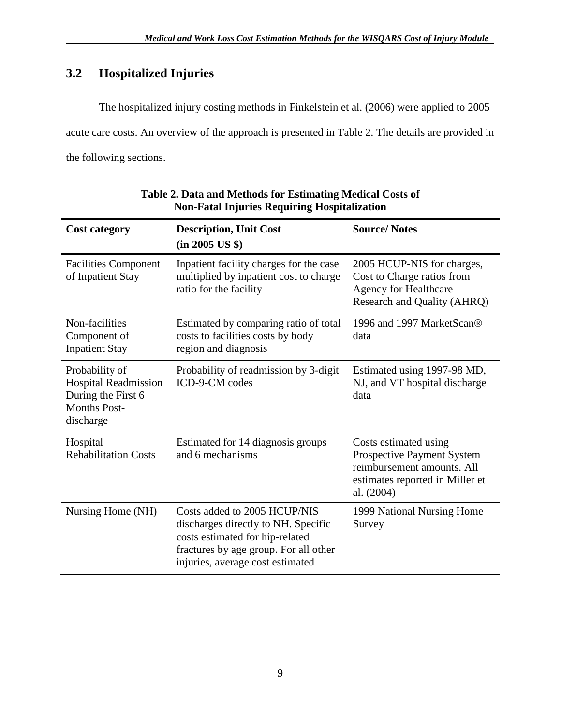# <span id="page-11-0"></span>**3.2 Hospitalized Injuries**

The hospitalized injury costing methods in Finkelstein et al. (2006) were applied to 2005 acute care costs. An overview of the approach is presented in Table 2. The details are provided in the following sections.

| <b>Cost category</b>                                                                             | <b>Description, Unit Cost</b><br>(in 2005 US \$)                                                                                                                                    | <b>Source/Notes</b>                                                                                                                       |  |
|--------------------------------------------------------------------------------------------------|-------------------------------------------------------------------------------------------------------------------------------------------------------------------------------------|-------------------------------------------------------------------------------------------------------------------------------------------|--|
| <b>Facilities Component</b><br>of Inpatient Stay                                                 | Inpatient facility charges for the case<br>multiplied by inpatient cost to charge<br>ratio for the facility                                                                         | 2005 HCUP-NIS for charges,<br>Cost to Charge ratios from<br><b>Agency for Healthcare</b><br>Research and Quality (AHRQ)                   |  |
| Non-facilities<br>Component of<br><b>Inpatient Stay</b>                                          | Estimated by comparing ratio of total<br>costs to facilities costs by body<br>region and diagnosis                                                                                  | 1996 and 1997 MarketScan®<br>data                                                                                                         |  |
| Probability of<br>Hospital Readmission<br>During the First 6<br><b>Months Post-</b><br>discharge | Probability of readmission by 3-digit<br>ICD-9-CM codes                                                                                                                             | Estimated using 1997-98 MD,<br>NJ, and VT hospital discharge<br>data                                                                      |  |
| Hospital<br><b>Rehabilitation Costs</b>                                                          | Estimated for 14 diagnosis groups<br>and 6 mechanisms                                                                                                                               | Costs estimated using<br><b>Prospective Payment System</b><br>reimbursement amounts. All<br>estimates reported in Miller et<br>al. (2004) |  |
| Nursing Home (NH)                                                                                | Costs added to 2005 HCUP/NIS<br>discharges directly to NH. Specific<br>costs estimated for hip-related<br>fractures by age group. For all other<br>injuries, average cost estimated | 1999 National Nursing Home<br>Survey                                                                                                      |  |

#### **Table 2. Data and Methods for Estimating Medical Costs of Non-Fatal Injuries Requiring Hospitalization**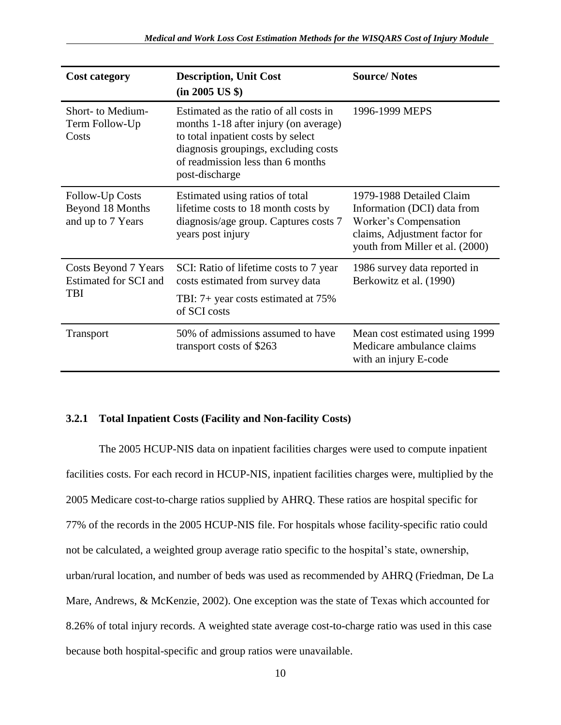| <b>Cost category</b>                                        | <b>Description, Unit Cost</b><br>(in 2005 US \$)                                                                                                                                                                     | <b>Source/Notes</b>                                                                                                                                  |
|-------------------------------------------------------------|----------------------------------------------------------------------------------------------------------------------------------------------------------------------------------------------------------------------|------------------------------------------------------------------------------------------------------------------------------------------------------|
| Short- to Medium-<br>Term Follow-Up<br>Costs                | Estimated as the ratio of all costs in<br>months 1-18 after injury (on average)<br>to total inpatient costs by select<br>diagnosis groupings, excluding costs<br>of readmission less than 6 months<br>post-discharge | 1996-1999 MEPS                                                                                                                                       |
| Follow-Up Costs<br>Beyond 18 Months<br>and up to 7 Years    | Estimated using ratios of total<br>lifetime costs to 18 month costs by<br>diagnosis/age group. Captures costs 7<br>years post injury                                                                                 | 1979-1988 Detailed Claim<br>Information (DCI) data from<br>Worker's Compensation<br>claims, Adjustment factor for<br>youth from Miller et al. (2000) |
| Costs Beyond 7 Years<br>Estimated for SCI and<br><b>TBI</b> | SCI: Ratio of lifetime costs to 7 year<br>costs estimated from survey data<br>TBI: 7+ year costs estimated at 75%<br>of SCI costs                                                                                    | 1986 survey data reported in<br>Berkowitz et al. (1990)                                                                                              |
| <b>Transport</b>                                            | 50% of admissions assumed to have<br>transport costs of \$263                                                                                                                                                        | Mean cost estimated using 1999<br>Medicare ambulance claims<br>with an injury E-code                                                                 |

#### <span id="page-12-0"></span>**3.2.1 Total Inpatient Costs (Facility and Non-facility Costs)**

The 2005 HCUP-NIS data on inpatient facilities charges were used to compute inpatient facilities costs. For each record in HCUP-NIS, inpatient facilities charges were, multiplied by the 2005 Medicare cost-to-charge ratios supplied by AHRQ. These ratios are hospital specific for 77% of the records in the 2005 HCUP-NIS file. For hospitals whose facility-specific ratio could not be calculated, a weighted group average ratio specific to the hospital's state, ownership, urban/rural location, and number of beds was used as recommended by AHRQ (Friedman, De La Mare, Andrews, & McKenzie, 2002). One exception was the state of Texas which accounted for 8.26% of total injury records. A weighted state average cost-to-charge ratio was used in this case because both hospital-specific and group ratios were unavailable.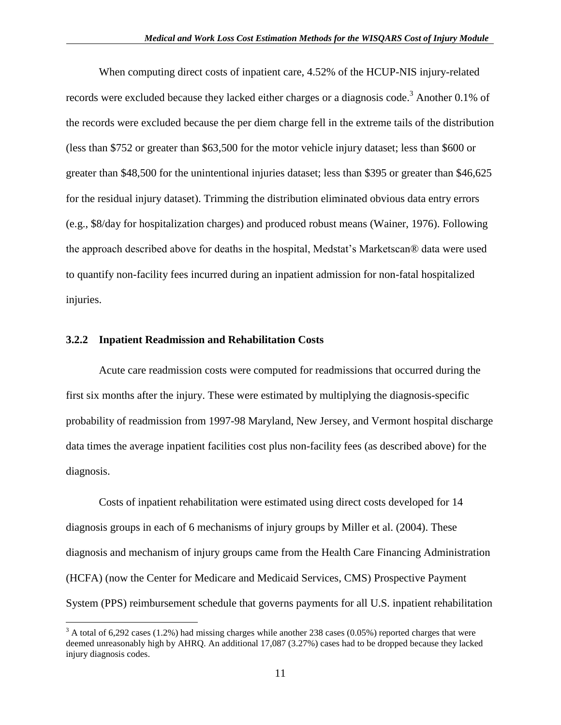When computing direct costs of inpatient care, 4.52% of the HCUP-NIS injury-related records were excluded because they lacked either charges or a diagnosis code.<sup>3</sup> Another 0.1% of the records were excluded because the per diem charge fell in the extreme tails of the distribution (less than \$752 or greater than \$63,500 for the motor vehicle injury dataset; less than \$600 or greater than \$48,500 for the unintentional injuries dataset; less than \$395 or greater than \$46,625 for the residual injury dataset). Trimming the distribution eliminated obvious data entry errors (e.g., \$8/day for hospitalization charges) and produced robust means (Wainer, 1976). Following the approach described above for deaths in the hospital, Medstat's Marketscan® data were used to quantify non-facility fees incurred during an inpatient admission for non-fatal hospitalized injuries.

#### <span id="page-13-0"></span>**3.2.2 Inpatient Readmission and Rehabilitation Costs**

 $\overline{a}$ 

Acute care readmission costs were computed for readmissions that occurred during the first six months after the injury. These were estimated by multiplying the diagnosis-specific probability of readmission from 1997-98 Maryland, New Jersey, and Vermont hospital discharge data times the average inpatient facilities cost plus non-facility fees (as described above) for the diagnosis.

Costs of inpatient rehabilitation were estimated using direct costs developed for 14 diagnosis groups in each of 6 mechanisms of injury groups by Miller et al. (2004). These diagnosis and mechanism of injury groups came from the Health Care Financing Administration (HCFA) (now the Center for Medicare and Medicaid Services, CMS) Prospective Payment System (PPS) reimbursement schedule that governs payments for all U.S. inpatient rehabilitation

 $3$  A total of 6,292 cases (1.2%) had missing charges while another 238 cases (0.05%) reported charges that were deemed unreasonably high by AHRQ. An additional 17,087 (3.27%) cases had to be dropped because they lacked injury diagnosis codes.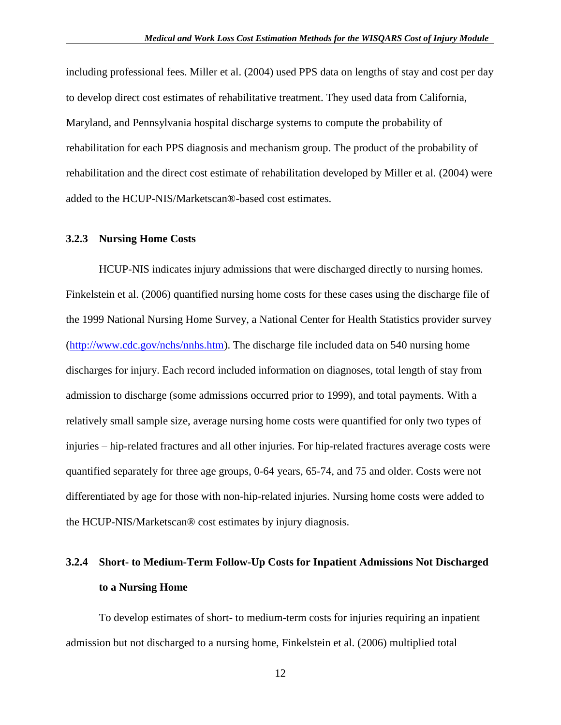including professional fees. Miller et al. (2004) used PPS data on lengths of stay and cost per day to develop direct cost estimates of rehabilitative treatment. They used data from California, Maryland, and Pennsylvania hospital discharge systems to compute the probability of rehabilitation for each PPS diagnosis and mechanism group. The product of the probability of rehabilitation and the direct cost estimate of rehabilitation developed by Miller et al. (2004) were added to the HCUP-NIS/Marketscan®-based cost estimates.

#### <span id="page-14-0"></span>**3.2.3 Nursing Home Costs**

HCUP-NIS indicates injury admissions that were discharged directly to nursing homes. Finkelstein et al. (2006) quantified nursing home costs for these cases using the discharge file of the 1999 National Nursing Home Survey, a National Center for Health Statistics provider survey [\(http://www.cdc.gov/nchs/nnhs.htm\)](http://www.cdc.gov/nchs/nnhs.htm). The discharge file included data on 540 nursing home discharges for injury. Each record included information on diagnoses, total length of stay from admission to discharge (some admissions occurred prior to 1999), and total payments. With a relatively small sample size, average nursing home costs were quantified for only two types of injuries – hip-related fractures and all other injuries. For hip-related fractures average costs were quantified separately for three age groups, 0-64 years, 65-74, and 75 and older. Costs were not differentiated by age for those with non-hip-related injuries. Nursing home costs were added to the HCUP-NIS/Marketscan® cost estimates by injury diagnosis.

# <span id="page-14-1"></span>**3.2.4 Short- to Medium-Term Follow-Up Costs for Inpatient Admissions Not Discharged to a Nursing Home**

To develop estimates of short- to medium-term costs for injuries requiring an inpatient admission but not discharged to a nursing home, Finkelstein et al. (2006) multiplied total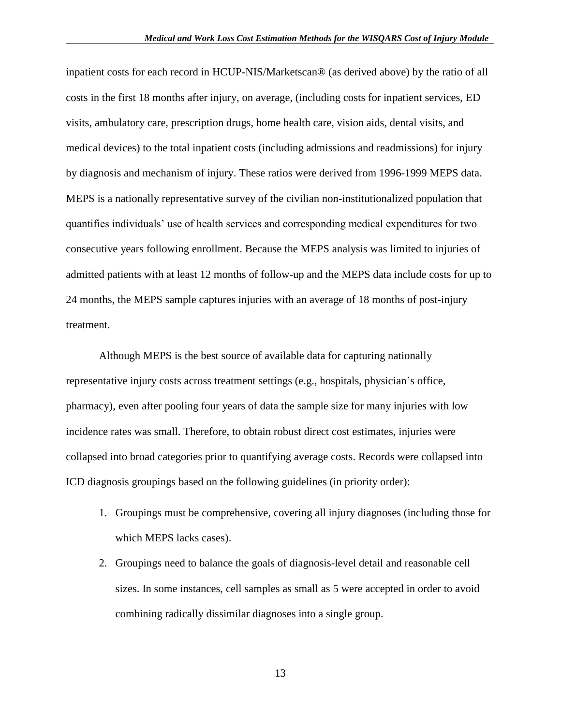inpatient costs for each record in HCUP-NIS/Marketscan® (as derived above) by the ratio of all costs in the first 18 months after injury, on average, (including costs for inpatient services, ED visits, ambulatory care, prescription drugs, home health care, vision aids, dental visits, and medical devices) to the total inpatient costs (including admissions and readmissions) for injury by diagnosis and mechanism of injury. These ratios were derived from 1996-1999 MEPS data. MEPS is a nationally representative survey of the civilian non-institutionalized population that quantifies individuals' use of health services and corresponding medical expenditures for two consecutive years following enrollment. Because the MEPS analysis was limited to injuries of admitted patients with at least 12 months of follow-up and the MEPS data include costs for up to 24 months, the MEPS sample captures injuries with an average of 18 months of post-injury treatment.

Although MEPS is the best source of available data for capturing nationally representative injury costs across treatment settings (e.g., hospitals, physician's office, pharmacy), even after pooling four years of data the sample size for many injuries with low incidence rates was small. Therefore, to obtain robust direct cost estimates, injuries were collapsed into broad categories prior to quantifying average costs. Records were collapsed into ICD diagnosis groupings based on the following guidelines (in priority order):

- 1. Groupings must be comprehensive, covering all injury diagnoses (including those for which MEPS lacks cases).
- 2. Groupings need to balance the goals of diagnosis-level detail and reasonable cell sizes. In some instances, cell samples as small as 5 were accepted in order to avoid combining radically dissimilar diagnoses into a single group.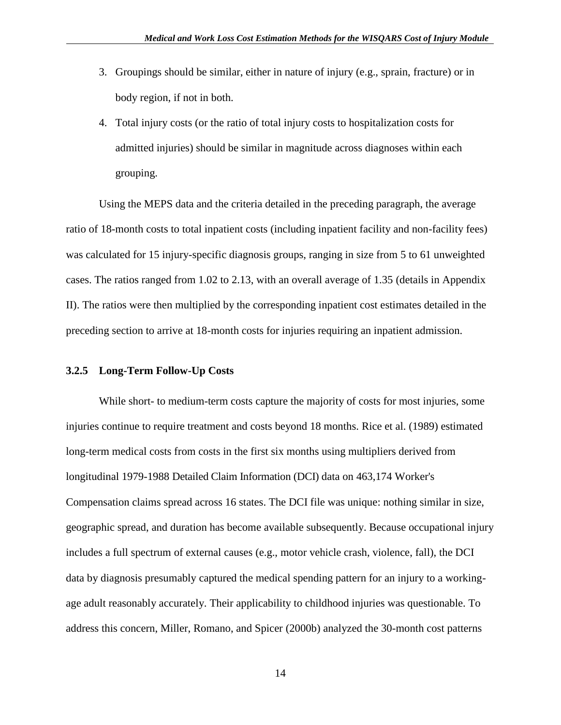- 3. Groupings should be similar, either in nature of injury (e.g., sprain, fracture) or in body region, if not in both.
- 4. Total injury costs (or the ratio of total injury costs to hospitalization costs for admitted injuries) should be similar in magnitude across diagnoses within each grouping.

Using the MEPS data and the criteria detailed in the preceding paragraph, the average ratio of 18-month costs to total inpatient costs (including inpatient facility and non-facility fees) was calculated for 15 injury-specific diagnosis groups, ranging in size from 5 to 61 unweighted cases. The ratios ranged from 1.02 to 2.13, with an overall average of 1.35 (details in Appendix II). The ratios were then multiplied by the corresponding inpatient cost estimates detailed in the preceding section to arrive at 18-month costs for injuries requiring an inpatient admission.

#### <span id="page-16-0"></span>**3.2.5 Long-Term Follow-Up Costs**

While short- to medium-term costs capture the majority of costs for most injuries, some injuries continue to require treatment and costs beyond 18 months. Rice et al. (1989) estimated long-term medical costs from costs in the first six months using multipliers derived from longitudinal 1979-1988 Detailed Claim Information (DCI) data on 463,174 Worker's Compensation claims spread across 16 states. The DCI file was unique: nothing similar in size, geographic spread, and duration has become available subsequently. Because occupational injury includes a full spectrum of external causes (e.g., motor vehicle crash, violence, fall), the DCI data by diagnosis presumably captured the medical spending pattern for an injury to a workingage adult reasonably accurately. Their applicability to childhood injuries was questionable. To address this concern, Miller, Romano, and Spicer (2000b) analyzed the 30-month cost patterns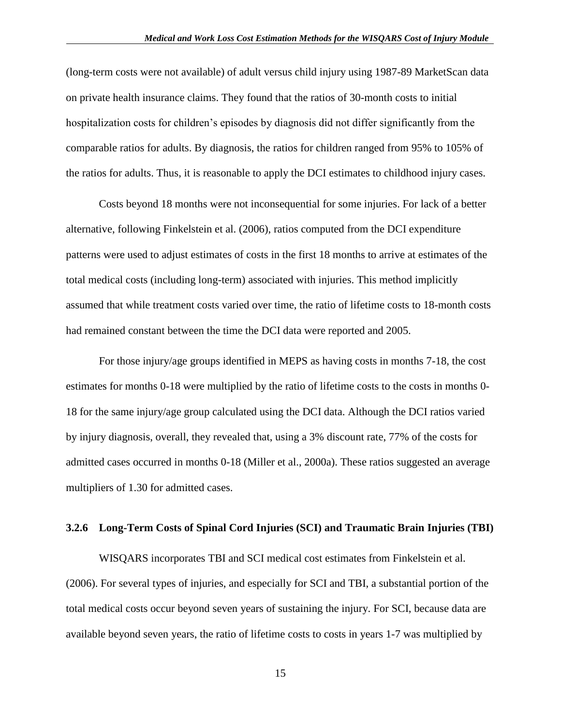(long-term costs were not available) of adult versus child injury using 1987-89 MarketScan data on private health insurance claims. They found that the ratios of 30-month costs to initial hospitalization costs for children's episodes by diagnosis did not differ significantly from the comparable ratios for adults. By diagnosis, the ratios for children ranged from 95% to 105% of the ratios for adults. Thus, it is reasonable to apply the DCI estimates to childhood injury cases.

Costs beyond 18 months were not inconsequential for some injuries. For lack of a better alternative, following Finkelstein et al. (2006), ratios computed from the DCI expenditure patterns were used to adjust estimates of costs in the first 18 months to arrive at estimates of the total medical costs (including long-term) associated with injuries. This method implicitly assumed that while treatment costs varied over time, the ratio of lifetime costs to 18-month costs had remained constant between the time the DCI data were reported and 2005.

For those injury/age groups identified in MEPS as having costs in months 7-18, the cost estimates for months 0-18 were multiplied by the ratio of lifetime costs to the costs in months 0- 18 for the same injury/age group calculated using the DCI data. Although the DCI ratios varied by injury diagnosis, overall, they revealed that, using a 3% discount rate, 77% of the costs for admitted cases occurred in months 0-18 (Miller et al., 2000a). These ratios suggested an average multipliers of 1.30 for admitted cases.

#### <span id="page-17-0"></span>**3.2.6 Long-Term Costs of Spinal Cord Injuries (SCI) and Traumatic Brain Injuries (TBI)**

WISQARS incorporates TBI and SCI medical cost estimates from Finkelstein et al. (2006). For several types of injuries, and especially for SCI and TBI, a substantial portion of the total medical costs occur beyond seven years of sustaining the injury. For SCI, because data are available beyond seven years, the ratio of lifetime costs to costs in years 1-7 was multiplied by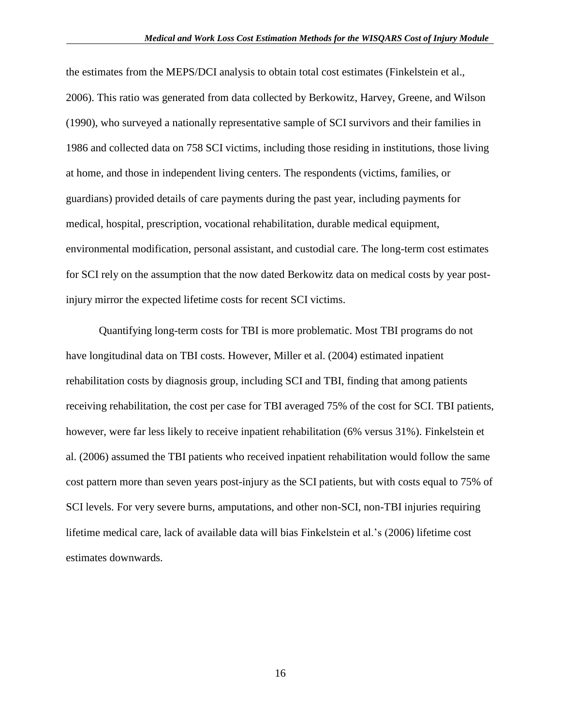the estimates from the MEPS/DCI analysis to obtain total cost estimates (Finkelstein et al., 2006). This ratio was generated from data collected by Berkowitz, Harvey, Greene, and Wilson (1990), who surveyed a nationally representative sample of SCI survivors and their families in 1986 and collected data on 758 SCI victims, including those residing in institutions, those living at home, and those in independent living centers. The respondents (victims, families, or guardians) provided details of care payments during the past year, including payments for medical, hospital, prescription, vocational rehabilitation, durable medical equipment, environmental modification, personal assistant, and custodial care. The long-term cost estimates for SCI rely on the assumption that the now dated Berkowitz data on medical costs by year postinjury mirror the expected lifetime costs for recent SCI victims.

Quantifying long-term costs for TBI is more problematic. Most TBI programs do not have longitudinal data on TBI costs. However, Miller et al. (2004) estimated inpatient rehabilitation costs by diagnosis group, including SCI and TBI, finding that among patients receiving rehabilitation, the cost per case for TBI averaged 75% of the cost for SCI. TBI patients, however, were far less likely to receive inpatient rehabilitation (6% versus 31%). Finkelstein et al. (2006) assumed the TBI patients who received inpatient rehabilitation would follow the same cost pattern more than seven years post-injury as the SCI patients, but with costs equal to 75% of SCI levels. For very severe burns, amputations, and other non-SCI, non-TBI injuries requiring lifetime medical care, lack of available data will bias Finkelstein et al.'s (2006) lifetime cost estimates downwards.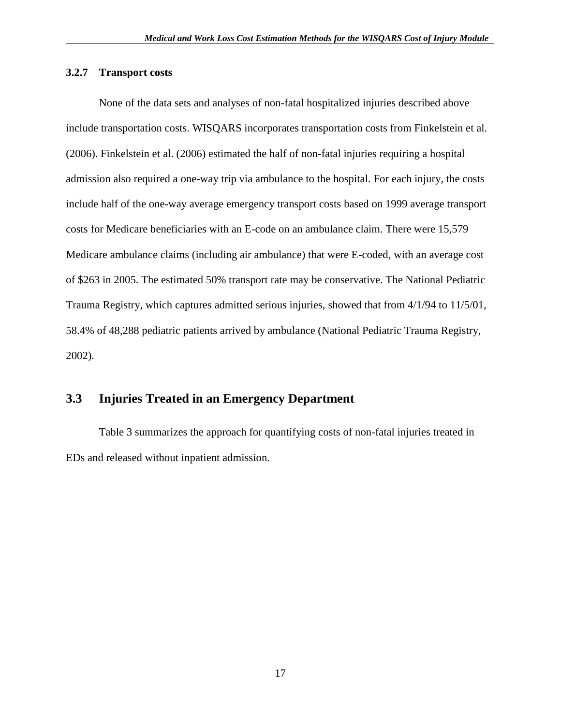#### <span id="page-19-0"></span>**3.2.7 Transport costs**

None of the data sets and analyses of non-fatal hospitalized injuries described above include transportation costs. WISQARS incorporates transportation costs from Finkelstein et al. (2006). Finkelstein et al. (2006) estimated the half of non-fatal injuries requiring a hospital admission also required a one-way trip via ambulance to the hospital. For each injury, the costs include half of the one-way average emergency transport costs based on 1999 average transport costs for Medicare beneficiaries with an E-code on an ambulance claim. There were 15,579 Medicare ambulance claims (including air ambulance) that were E-coded, with an average cost of \$263 in 2005. The estimated 50% transport rate may be conservative. The National Pediatric Trauma Registry, which captures admitted serious injuries, showed that from 4/1/94 to 11/5/01, 58.4% of 48,288 pediatric patients arrived by ambulance (National Pediatric Trauma Registry, 2002).

## <span id="page-19-1"></span>**3.3 Injuries Treated in an Emergency Department**

Table 3 summarizes the approach for quantifying costs of non-fatal injuries treated in EDs and released without inpatient admission.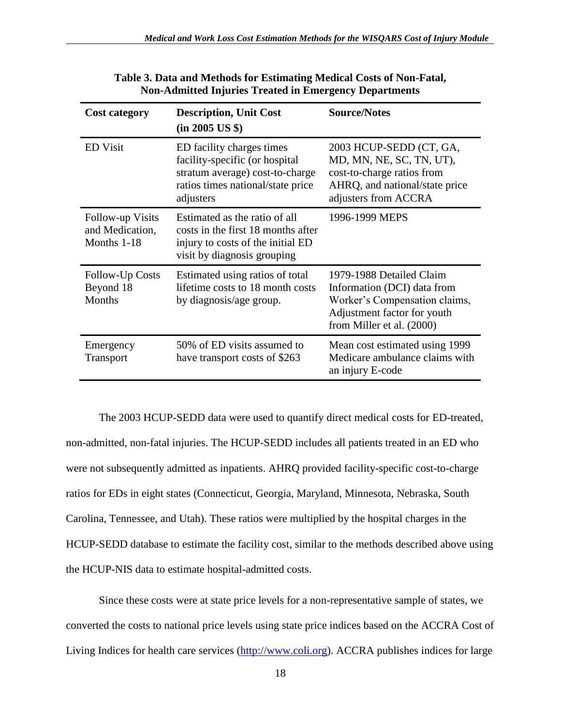| <b>Cost category</b>                               | <b>Description, Unit Cost</b><br>(in 2005 US \$)                                                                                                 | <b>Source/Notes</b>                                                                                                                                  |
|----------------------------------------------------|--------------------------------------------------------------------------------------------------------------------------------------------------|------------------------------------------------------------------------------------------------------------------------------------------------------|
| <b>ED</b> Visit                                    | ED facility charges times<br>facility-specific (or hospital<br>stratum average) cost-to-charge<br>ratios times national/state price<br>adjusters | 2003 HCUP-SEDD (CT, GA,<br>MD, MN, NE, SC, TN, UT),<br>cost-to-charge ratios from<br>AHRQ, and national/state price<br>adjusters from ACCRA          |
| Follow-up Visits<br>and Medication,<br>Months 1-18 | Estimated as the ratio of all<br>costs in the first 18 months after<br>injury to costs of the initial ED<br>visit by diagnosis grouping          | 1996-1999 MEPS                                                                                                                                       |
| Follow-Up Costs<br>Beyond 18<br><b>Months</b>      | Estimated using ratios of total<br>lifetime costs to 18 month costs<br>by diagnosis/age group.                                                   | 1979-1988 Detailed Claim<br>Information (DCI) data from<br>Worker's Compensation claims,<br>Adjustment factor for youth<br>from Miller et al. (2000) |
| Emergency<br>Transport                             | 50% of ED visits assumed to<br>have transport costs of \$263                                                                                     | Mean cost estimated using 1999<br>Medicare ambulance claims with<br>an injury E-code                                                                 |

**Table 3. Data and Methods for Estimating Medical Costs of Non-Fatal, Non-Admitted Injuries Treated in Emergency Departments**

The 2003 HCUP-SEDD data were used to quantify direct medical costs for ED-treated, non-admitted, non-fatal injuries. The HCUP-SEDD includes all patients treated in an ED who were not subsequently admitted as inpatients. AHRQ provided facility-specific cost-to-charge ratios for EDs in eight states (Connecticut, Georgia, Maryland, Minnesota, Nebraska, South Carolina, Tennessee, and Utah). These ratios were multiplied by the hospital charges in the HCUP-SEDD database to estimate the facility cost, similar to the methods described above using the HCUP-NIS data to estimate hospital-admitted costs.

Since these costs were at state price levels for a non-representative sample of states, we converted the costs to national price levels using state price indices based on the ACCRA Cost of Living Indices for health care services [\(http://www.coli.org\)](http://www.coli.org/). ACCRA publishes indices for large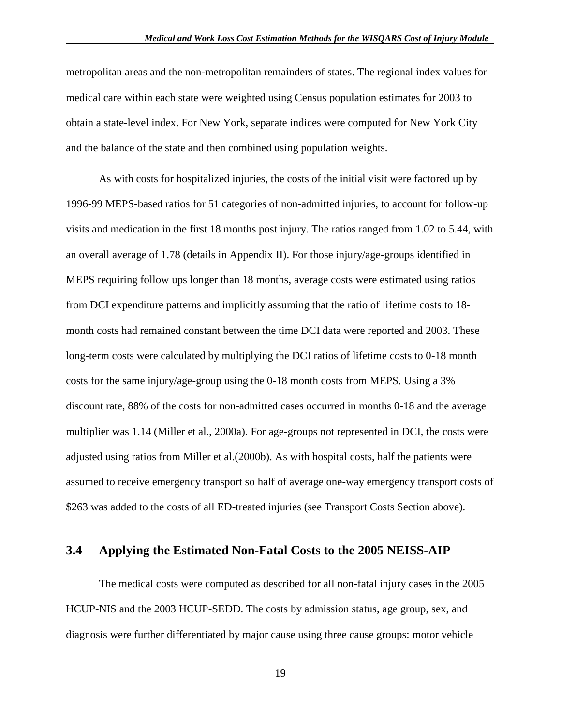metropolitan areas and the non-metropolitan remainders of states. The regional index values for medical care within each state were weighted using Census population estimates for 2003 to obtain a state-level index. For New York, separate indices were computed for New York City and the balance of the state and then combined using population weights.

As with costs for hospitalized injuries, the costs of the initial visit were factored up by 1996-99 MEPS-based ratios for 51 categories of non-admitted injuries, to account for follow-up visits and medication in the first 18 months post injury. The ratios ranged from 1.02 to 5.44, with an overall average of 1.78 (details in Appendix II). For those injury/age-groups identified in MEPS requiring follow ups longer than 18 months, average costs were estimated using ratios from DCI expenditure patterns and implicitly assuming that the ratio of lifetime costs to 18 month costs had remained constant between the time DCI data were reported and 2003. These long-term costs were calculated by multiplying the DCI ratios of lifetime costs to 0-18 month costs for the same injury/age-group using the 0-18 month costs from MEPS. Using a 3% discount rate, 88% of the costs for non-admitted cases occurred in months 0-18 and the average multiplier was 1.14 (Miller et al., 2000a). For age-groups not represented in DCI, the costs were adjusted using ratios from Miller et al.(2000b). As with hospital costs, half the patients were assumed to receive emergency transport so half of average one-way emergency transport costs of \$263 was added to the costs of all ED-treated injuries (see Transport Costs Section above).

#### <span id="page-21-0"></span>**3.4 Applying the Estimated Non-Fatal Costs to the 2005 NEISS-AIP**

The medical costs were computed as described for all non-fatal injury cases in the 2005 HCUP-NIS and the 2003 HCUP-SEDD. The costs by admission status, age group, sex, and diagnosis were further differentiated by major cause using three cause groups: motor vehicle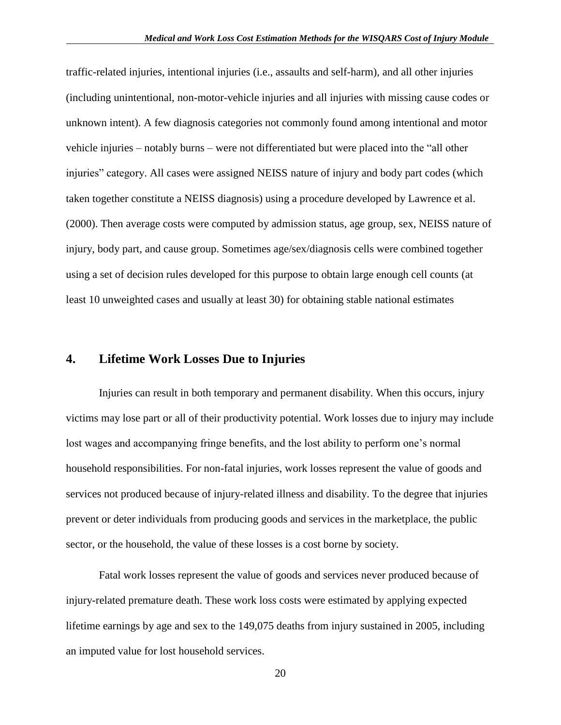traffic-related injuries, intentional injuries (i.e., assaults and self-harm), and all other injuries (including unintentional, non-motor-vehicle injuries and all injuries with missing cause codes or unknown intent). A few diagnosis categories not commonly found among intentional and motor vehicle injuries – notably burns – were not differentiated but were placed into the "all other injuries" category. All cases were assigned NEISS nature of injury and body part codes (which taken together constitute a NEISS diagnosis) using a procedure developed by Lawrence et al. (2000). Then average costs were computed by admission status, age group, sex, NEISS nature of injury, body part, and cause group. Sometimes age/sex/diagnosis cells were combined together using a set of decision rules developed for this purpose to obtain large enough cell counts (at least 10 unweighted cases and usually at least 30) for obtaining stable national estimates

#### <span id="page-22-0"></span>**4. Lifetime Work Losses Due to Injuries**

Injuries can result in both temporary and permanent disability. When this occurs, injury victims may lose part or all of their productivity potential. Work losses due to injury may include lost wages and accompanying fringe benefits, and the lost ability to perform one's normal household responsibilities. For non-fatal injuries, work losses represent the value of goods and services not produced because of injury-related illness and disability. To the degree that injuries prevent or deter individuals from producing goods and services in the marketplace, the public sector, or the household, the value of these losses is a cost borne by society.

Fatal work losses represent the value of goods and services never produced because of injury-related premature death. These work loss costs were estimated by applying expected lifetime earnings by age and sex to the 149,075 deaths from injury sustained in 2005, including an imputed value for lost household services.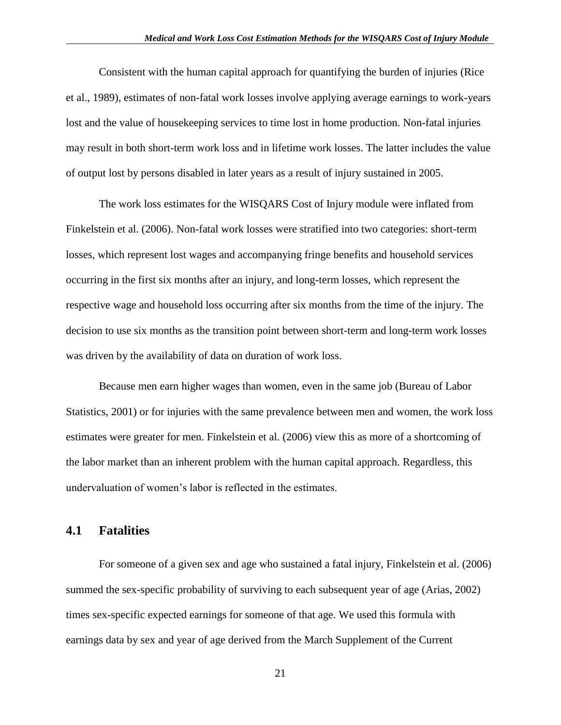Consistent with the human capital approach for quantifying the burden of injuries (Rice et al., 1989), estimates of non-fatal work losses involve applying average earnings to work-years lost and the value of housekeeping services to time lost in home production. Non-fatal injuries may result in both short-term work loss and in lifetime work losses. The latter includes the value of output lost by persons disabled in later years as a result of injury sustained in 2005.

The work loss estimates for the WISQARS Cost of Injury module were inflated from Finkelstein et al. (2006). Non-fatal work losses were stratified into two categories: short-term losses, which represent lost wages and accompanying fringe benefits and household services occurring in the first six months after an injury, and long-term losses, which represent the respective wage and household loss occurring after six months from the time of the injury. The decision to use six months as the transition point between short-term and long-term work losses was driven by the availability of data on duration of work loss.

Because men earn higher wages than women, even in the same job (Bureau of Labor Statistics, 2001) or for injuries with the same prevalence between men and women, the work loss estimates were greater for men. Finkelstein et al. (2006) view this as more of a shortcoming of the labor market than an inherent problem with the human capital approach. Regardless, this undervaluation of women's labor is reflected in the estimates.

#### <span id="page-23-0"></span>**4.1 Fatalities**

For someone of a given sex and age who sustained a fatal injury, Finkelstein et al. (2006) summed the sex-specific probability of surviving to each subsequent year of age (Arias, 2002) times sex-specific expected earnings for someone of that age. We used this formula with earnings data by sex and year of age derived from the March Supplement of the Current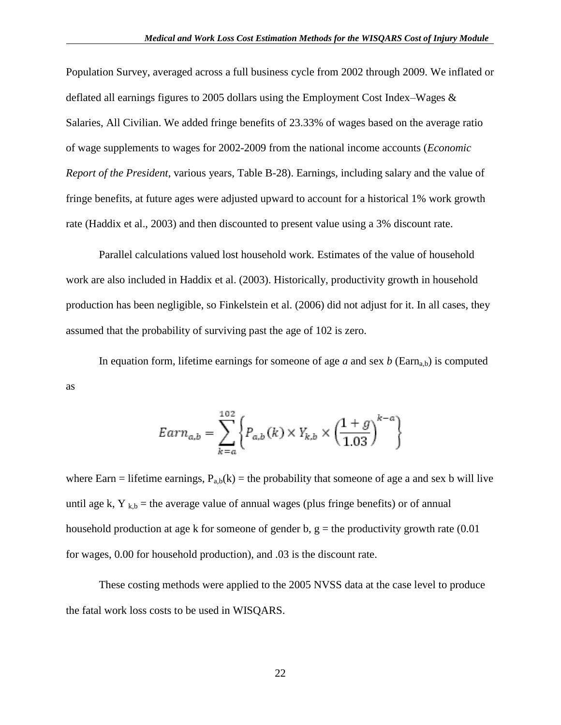Population Survey, averaged across a full business cycle from 2002 through 2009. We inflated or deflated all earnings figures to 2005 dollars using the Employment Cost Index–Wages & Salaries, All Civilian. We added fringe benefits of 23.33% of wages based on the average ratio of wage supplements to wages for 2002-2009 from the national income accounts (*Economic Report of the President*, various years, Table B-28). Earnings, including salary and the value of fringe benefits, at future ages were adjusted upward to account for a historical 1% work growth rate (Haddix et al., 2003) and then discounted to present value using a 3% discount rate.

Parallel calculations valued lost household work. Estimates of the value of household work are also included in Haddix et al. (2003). Historically, productivity growth in household production has been negligible, so Finkelstein et al. (2006) did not adjust for it. In all cases, they assumed that the probability of surviving past the age of 102 is zero.

In equation form, lifetime earnings for someone of age *a* and sex *b* (Earn<sub>a,b</sub>) is computed as

$$
Earn_{a,b} = \sum_{k=a}^{102} \left\{ P_{a,b}(k) \times Y_{k,b} \times \left( \frac{1+g}{1.03} \right)^{k-a} \right\}
$$

where Earn = lifetime earnings,  $P_{a,b}(k)$  = the probability that someone of age a and sex b will live until age k,  $Y_{kb}$  = the average value of annual wages (plus fringe benefits) or of annual household production at age k for someone of gender b,  $g =$  the productivity growth rate (0.01) for wages, 0.00 for household production), and .03 is the discount rate.

These costing methods were applied to the 2005 NVSS data at the case level to produce the fatal work loss costs to be used in WISQARS.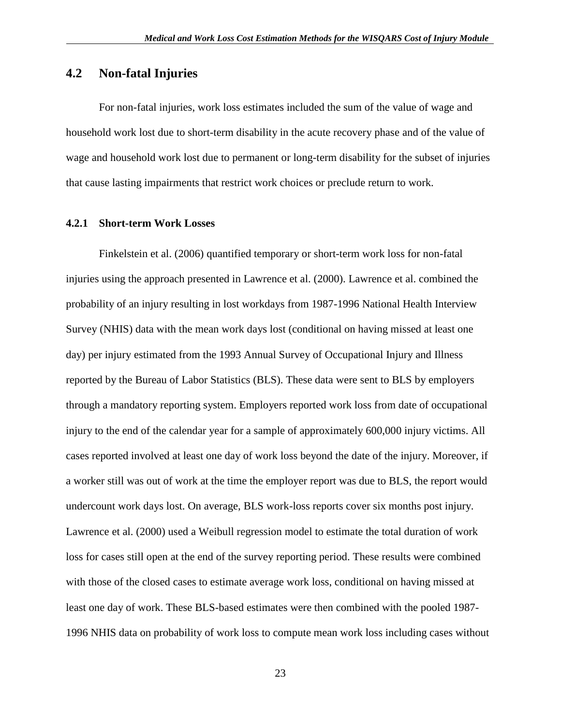## <span id="page-25-0"></span>**4.2 Non-fatal Injuries**

For non-fatal injuries, work loss estimates included the sum of the value of wage and household work lost due to short-term disability in the acute recovery phase and of the value of wage and household work lost due to permanent or long-term disability for the subset of injuries that cause lasting impairments that restrict work choices or preclude return to work.

#### <span id="page-25-1"></span>**4.2.1 Short-term Work Losses**

Finkelstein et al. (2006) quantified temporary or short-term work loss for non-fatal injuries using the approach presented in Lawrence et al. (2000). Lawrence et al. combined the probability of an injury resulting in lost workdays from 1987-1996 National Health Interview Survey (NHIS) data with the mean work days lost (conditional on having missed at least one day) per injury estimated from the 1993 Annual Survey of Occupational Injury and Illness reported by the Bureau of Labor Statistics (BLS). These data were sent to BLS by employers through a mandatory reporting system. Employers reported work loss from date of occupational injury to the end of the calendar year for a sample of approximately 600,000 injury victims. All cases reported involved at least one day of work loss beyond the date of the injury. Moreover, if a worker still was out of work at the time the employer report was due to BLS, the report would undercount work days lost. On average, BLS work-loss reports cover six months post injury. Lawrence et al. (2000) used a Weibull regression model to estimate the total duration of work loss for cases still open at the end of the survey reporting period. These results were combined with those of the closed cases to estimate average work loss, conditional on having missed at least one day of work. These BLS-based estimates were then combined with the pooled 1987- 1996 NHIS data on probability of work loss to compute mean work loss including cases without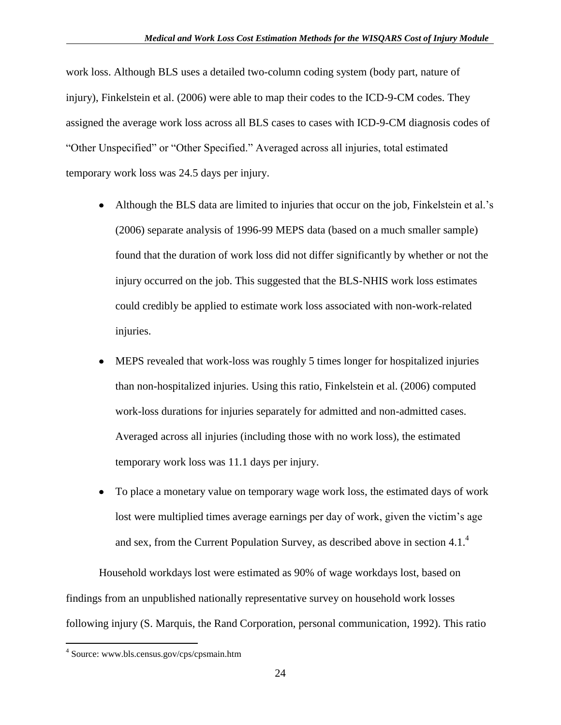work loss. Although BLS uses a detailed two-column coding system (body part, nature of injury), Finkelstein et al. (2006) were able to map their codes to the ICD-9-CM codes. They assigned the average work loss across all BLS cases to cases with ICD-9-CM diagnosis codes of "Other Unspecified" or "Other Specified." Averaged across all injuries, total estimated temporary work loss was 24.5 days per injury.

- $\bullet$ Although the BLS data are limited to injuries that occur on the job, Finkelstein et al.'s (2006) separate analysis of 1996-99 MEPS data (based on a much smaller sample) found that the duration of work loss did not differ significantly by whether or not the injury occurred on the job. This suggested that the BLS-NHIS work loss estimates could credibly be applied to estimate work loss associated with non-work-related injuries.
- $\bullet$ MEPS revealed that work-loss was roughly 5 times longer for hospitalized injuries than non-hospitalized injuries. Using this ratio, Finkelstein et al. (2006) computed work-loss durations for injuries separately for admitted and non-admitted cases. Averaged across all injuries (including those with no work loss), the estimated temporary work loss was 11.1 days per injury.
- To place a monetary value on temporary wage work loss, the estimated days of work  $\bullet$ lost were multiplied times average earnings per day of work, given the victim's age and sex, from the Current Population Survey, as described above in section 4.1. 4

Household workdays lost were estimated as 90% of wage workdays lost, based on findings from an unpublished nationally representative survey on household work losses following injury (S. Marquis, the Rand Corporation, personal communication, 1992). This ratio

 $\overline{a}$ 

<sup>4</sup> Source: www.bls.census.gov/cps/cpsmain.htm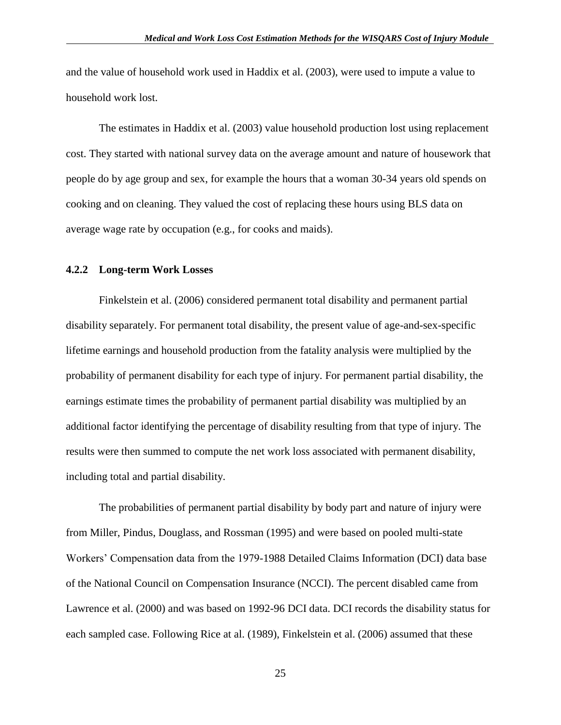and the value of household work used in Haddix et al. (2003), were used to impute a value to household work lost.

The estimates in Haddix et al. (2003) value household production lost using replacement cost. They started with national survey data on the average amount and nature of housework that people do by age group and sex, for example the hours that a woman 30-34 years old spends on cooking and on cleaning. They valued the cost of replacing these hours using BLS data on average wage rate by occupation (e.g., for cooks and maids).

#### <span id="page-27-0"></span>**4.2.2 Long-term Work Losses**

Finkelstein et al. (2006) considered permanent total disability and permanent partial disability separately. For permanent total disability, the present value of age-and-sex-specific lifetime earnings and household production from the fatality analysis were multiplied by the probability of permanent disability for each type of injury. For permanent partial disability, the earnings estimate times the probability of permanent partial disability was multiplied by an additional factor identifying the percentage of disability resulting from that type of injury. The results were then summed to compute the net work loss associated with permanent disability, including total and partial disability.

The probabilities of permanent partial disability by body part and nature of injury were from Miller, Pindus, Douglass, and Rossman (1995) and were based on pooled multi-state Workers' Compensation data from the 1979-1988 Detailed Claims Information (DCI) data base of the National Council on Compensation Insurance (NCCI). The percent disabled came from Lawrence et al. (2000) and was based on 1992-96 DCI data. DCI records the disability status for each sampled case. Following Rice at al. (1989), Finkelstein et al. (2006) assumed that these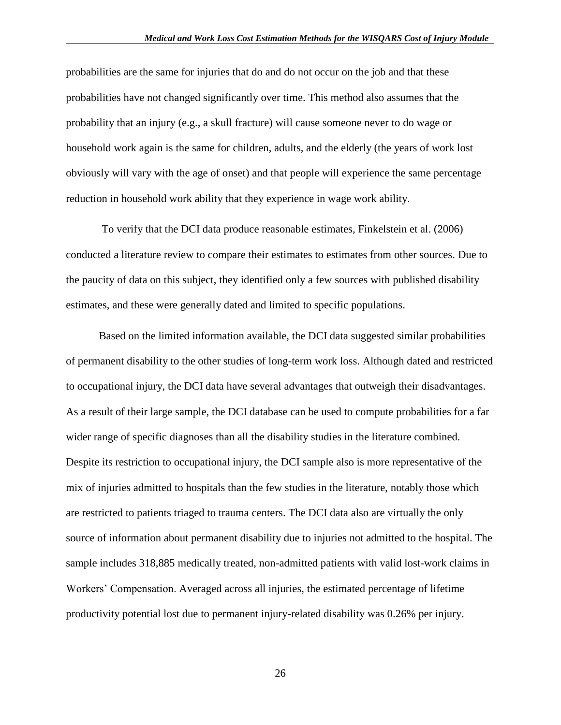probabilities are the same for injuries that do and do not occur on the job and that these probabilities have not changed significantly over time. This method also assumes that the probability that an injury (e.g., a skull fracture) will cause someone never to do wage or household work again is the same for children, adults, and the elderly (the years of work lost obviously will vary with the age of onset) and that people will experience the same percentage reduction in household work ability that they experience in wage work ability.

To verify that the DCI data produce reasonable estimates, Finkelstein et al. (2006) conducted a literature review to compare their estimates to estimates from other sources. Due to the paucity of data on this subject, they identified only a few sources with published disability estimates, and these were generally dated and limited to specific populations.

Based on the limited information available, the DCI data suggested similar probabilities of permanent disability to the other studies of long-term work loss. Although dated and restricted to occupational injury, the DCI data have several advantages that outweigh their disadvantages. As a result of their large sample, the DCI database can be used to compute probabilities for a far wider range of specific diagnoses than all the disability studies in the literature combined. Despite its restriction to occupational injury, the DCI sample also is more representative of the mix of injuries admitted to hospitals than the few studies in the literature, notably those which are restricted to patients triaged to trauma centers. The DCI data also are virtually the only source of information about permanent disability due to injuries not admitted to the hospital. The sample includes 318,885 medically treated, non-admitted patients with valid lost-work claims in Workers' Compensation. Averaged across all injuries, the estimated percentage of lifetime productivity potential lost due to permanent injury-related disability was 0.26% per injury.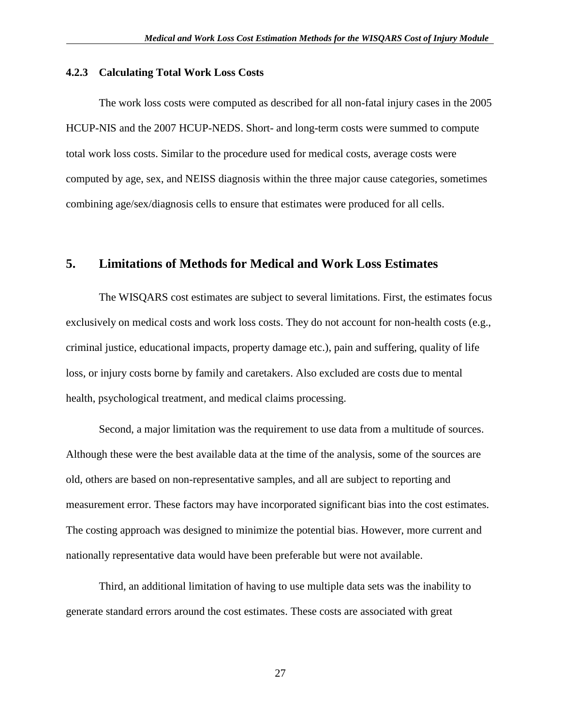#### <span id="page-29-0"></span>**4.2.3 Calculating Total Work Loss Costs**

The work loss costs were computed as described for all non-fatal injury cases in the 2005 HCUP-NIS and the 2007 HCUP-NEDS. Short- and long-term costs were summed to compute total work loss costs. Similar to the procedure used for medical costs, average costs were computed by age, sex, and NEISS diagnosis within the three major cause categories, sometimes combining age/sex/diagnosis cells to ensure that estimates were produced for all cells.

#### <span id="page-29-1"></span>**5. Limitations of Methods for Medical and Work Loss Estimates**

The WISQARS cost estimates are subject to several limitations. First, the estimates focus exclusively on medical costs and work loss costs. They do not account for non-health costs (e.g., criminal justice, educational impacts, property damage etc.), pain and suffering, quality of life loss, or injury costs borne by family and caretakers. Also excluded are costs due to mental health, psychological treatment, and medical claims processing.

Second, a major limitation was the requirement to use data from a multitude of sources. Although these were the best available data at the time of the analysis, some of the sources are old, others are based on non-representative samples, and all are subject to reporting and measurement error. These factors may have incorporated significant bias into the cost estimates. The costing approach was designed to minimize the potential bias. However, more current and nationally representative data would have been preferable but were not available.

Third, an additional limitation of having to use multiple data sets was the inability to generate standard errors around the cost estimates. These costs are associated with great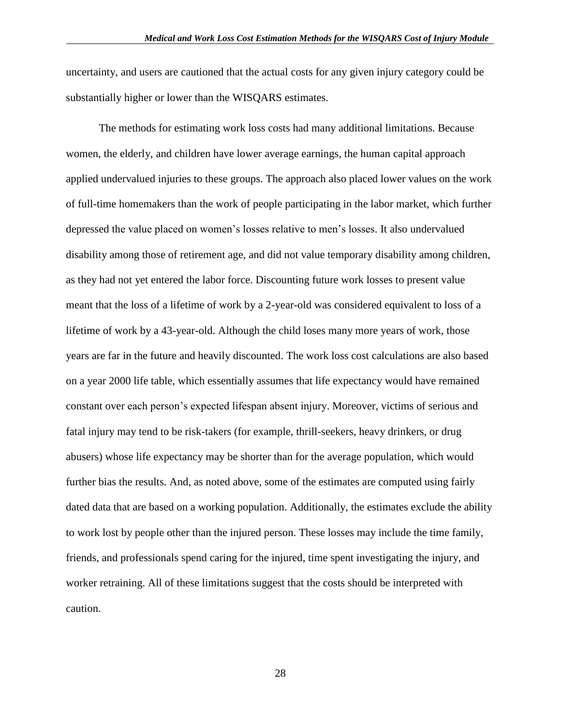uncertainty, and users are cautioned that the actual costs for any given injury category could be substantially higher or lower than the WISQARS estimates.

The methods for estimating work loss costs had many additional limitations. Because women, the elderly, and children have lower average earnings, the human capital approach applied undervalued injuries to these groups. The approach also placed lower values on the work of full-time homemakers than the work of people participating in the labor market, which further depressed the value placed on women's losses relative to men's losses. It also undervalued disability among those of retirement age, and did not value temporary disability among children, as they had not yet entered the labor force. Discounting future work losses to present value meant that the loss of a lifetime of work by a 2-year-old was considered equivalent to loss of a lifetime of work by a 43-year-old. Although the child loses many more years of work, those years are far in the future and heavily discounted. The work loss cost calculations are also based on a year 2000 life table, which essentially assumes that life expectancy would have remained constant over each person's expected lifespan absent injury. Moreover, victims of serious and fatal injury may tend to be risk-takers (for example, thrill-seekers, heavy drinkers, or drug abusers) whose life expectancy may be shorter than for the average population, which would further bias the results. And, as noted above, some of the estimates are computed using fairly dated data that are based on a working population. Additionally, the estimates exclude the ability to work lost by people other than the injured person. These losses may include the time family, friends, and professionals spend caring for the injured, time spent investigating the injury, and worker retraining. All of these limitations suggest that the costs should be interpreted with caution.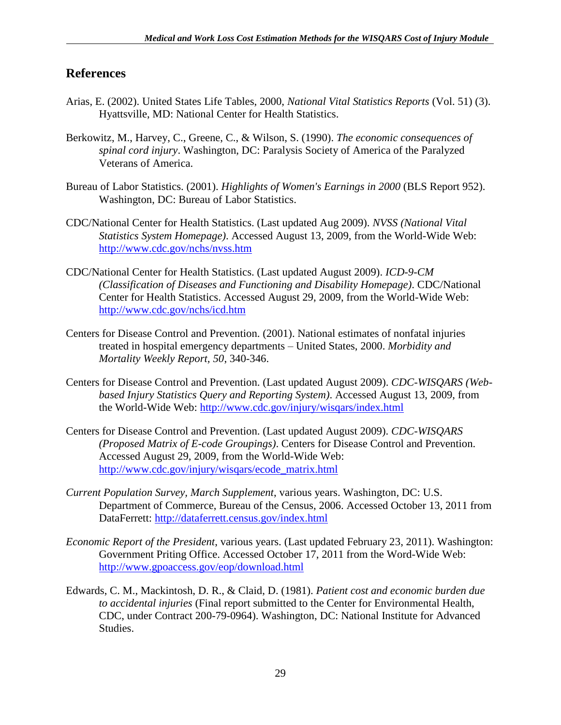## <span id="page-31-0"></span>**References**

- Arias, E. (2002). United States Life Tables, 2000, *National Vital Statistics Reports* (Vol. 51) (3). Hyattsville, MD: National Center for Health Statistics.
- Berkowitz, M., Harvey, C., Greene, C., & Wilson, S. (1990). *The economic consequences of spinal cord injury*. Washington, DC: Paralysis Society of America of the Paralyzed Veterans of America.
- Bureau of Labor Statistics. (2001). *Highlights of Women's Earnings in 2000* (BLS Report 952). Washington, DC: Bureau of Labor Statistics.
- CDC/National Center for Health Statistics. (Last updated Aug 2009). *NVSS (National Vital Statistics System Homepage)*. Accessed August 13, 2009, from the World-Wide Web: <http://www.cdc.gov/nchs/nvss.htm>
- CDC/National Center for Health Statistics. (Last updated August 2009). *ICD-9-CM (Classification of Diseases and Functioning and Disability Homepage)*. CDC/National Center for Health Statistics. Accessed August 29, 2009, from the World-Wide Web: <http://www.cdc.gov/nchs/icd.htm>
- Centers for Disease Control and Prevention. (2001). National estimates of nonfatal injuries treated in hospital emergency departments – United States, 2000. *Morbidity and Mortality Weekly Report, 50*, 340-346.
- Centers for Disease Control and Prevention. (Last updated August 2009). *CDC-WISQARS (Webbased Injury Statistics Query and Reporting System)*. Accessed August 13, 2009, from the World-Wide Web:<http://www.cdc.gov/injury/wisqars/index.html>
- Centers for Disease Control and Prevention. (Last updated August 2009). *CDC-WISQARS (Proposed Matrix of E-code Groupings)*. Centers for Disease Control and Prevention. Accessed August 29, 2009, from the World-Wide Web: [http://www.cdc.gov/injury/wisqars/ecode\\_matrix.html](http://www.cdc.gov/injury/wisqars/ecode_matrix.html)
- *Current Population Survey, March Supplement*, various years. Washington, DC: U.S. Department of Commerce, Bureau of the Census, 2006. Accessed October 13, 2011 from DataFerrett:<http://dataferrett.census.gov/index.html>
- *Economic Report of the President*, various years. (Last updated February 23, 2011). Washington: Government Priting Office. Accessed October 17, 2011 from the Word-Wide Web: <http://www.gpoaccess.gov/eop/download.html>
- Edwards, C. M., Mackintosh, D. R., & Claid, D. (1981). *Patient cost and economic burden due to accidental injuries* (Final report submitted to the Center for Environmental Health, CDC, under Contract 200-79-0964). Washington, DC: National Institute for Advanced Studies.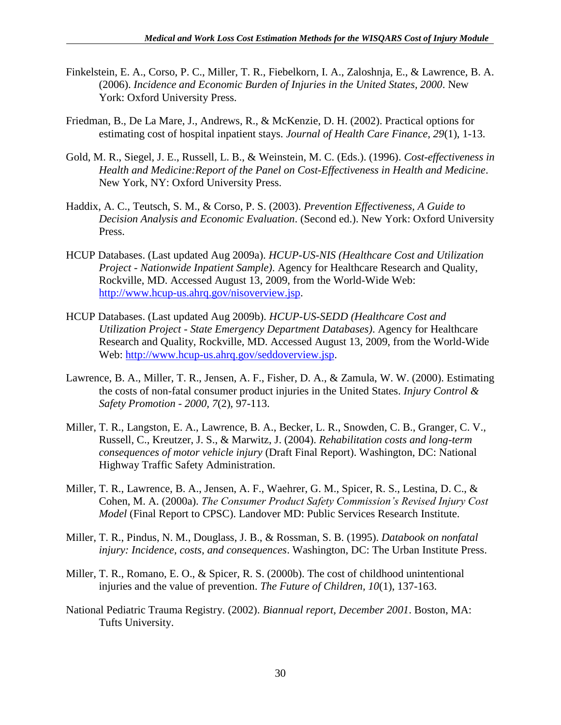- Finkelstein, E. A., Corso, P. C., Miller, T. R., Fiebelkorn, I. A., Zaloshnja, E., & Lawrence, B. A. (2006). *Incidence and Economic Burden of Injuries in the United States, 2000*. New York: Oxford University Press.
- Friedman, B., De La Mare, J., Andrews, R., & McKenzie, D. H. (2002). Practical options for estimating cost of hospital inpatient stays. *Journal of Health Care Finance, 29*(1), 1-13.
- Gold, M. R., Siegel, J. E., Russell, L. B., & Weinstein, M. C. (Eds.). (1996). *Cost-effectiveness in Health and Medicine:Report of the Panel on Cost-Effectiveness in Health and Medicine*. New York, NY: Oxford University Press.
- Haddix, A. C., Teutsch, S. M., & Corso, P. S. (2003). *Prevention Effectiveness, A Guide to Decision Analysis and Economic Evaluation*. (Second ed.). New York: Oxford University Press.
- HCUP Databases. (Last updated Aug 2009a). *HCUP-US-NIS (Healthcare Cost and Utilization Project - Nationwide Inpatient Sample)*. Agency for Healthcare Research and Quality, Rockville, MD. Accessed August 13, 2009, from the World-Wide Web: [http://www.hcup-us.ahrq.gov/nisoverview.jsp.](http://www.hcup-us.ahrq.gov/nisoverview.jsp)
- HCUP Databases. (Last updated Aug 2009b). *HCUP-US-SEDD (Healthcare Cost and Utilization Project - State Emergency Department Databases)*. Agency for Healthcare Research and Quality, Rockville, MD. Accessed August 13, 2009, from the World-Wide Web: [http://www.hcup-us.ahrq.gov/seddoverview.jsp.](http://www.hcup-us.ahrq.gov/seddoverview.jsp)
- Lawrence, B. A., Miller, T. R., Jensen, A. F., Fisher, D. A., & Zamula, W. W. (2000). Estimating the costs of non-fatal consumer product injuries in the United States. *Injury Control & Safety Promotion - 2000, 7*(2), 97-113.
- Miller, T. R., Langston, E. A., Lawrence, B. A., Becker, L. R., Snowden, C. B., Granger, C. V., Russell, C., Kreutzer, J. S., & Marwitz, J. (2004). *Rehabilitation costs and long-term consequences of motor vehicle injury* (Draft Final Report). Washington, DC: National Highway Traffic Safety Administration.
- Miller, T. R., Lawrence, B. A., Jensen, A. F., Waehrer, G. M., Spicer, R. S., Lestina, D. C., & Cohen, M. A. (2000a). *The Consumer Product Safety Commission's Revised Injury Cost Model* (Final Report to CPSC). Landover MD: Public Services Research Institute.
- Miller, T. R., Pindus, N. M., Douglass, J. B., & Rossman, S. B. (1995). *Databook on nonfatal injury: Incidence, costs, and consequences*. Washington, DC: The Urban Institute Press.
- Miller, T. R., Romano, E. O., & Spicer, R. S. (2000b). The cost of childhood unintentional injuries and the value of prevention. *The Future of Children, 10*(1), 137-163.
- National Pediatric Trauma Registry. (2002). *Biannual report, December 2001*. Boston, MA: Tufts University.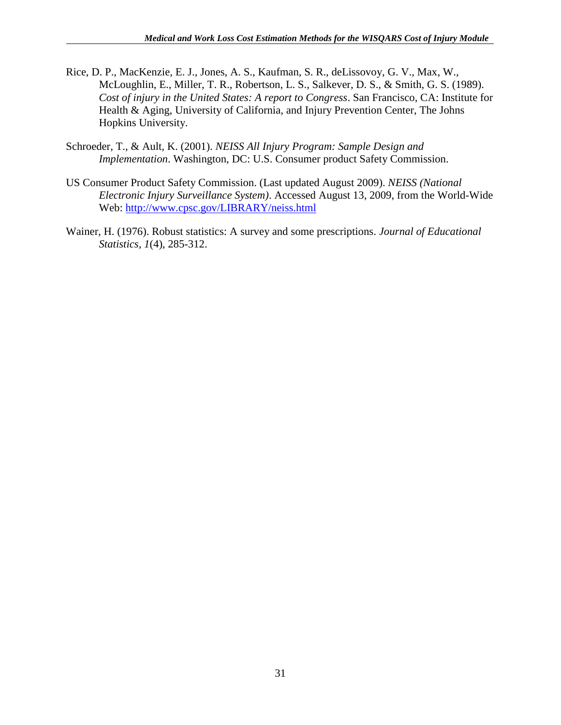- Rice, D. P., MacKenzie, E. J., Jones, A. S., Kaufman, S. R., deLissovoy, G. V., Max, W., McLoughlin, E., Miller, T. R., Robertson, L. S., Salkever, D. S., & Smith, G. S. (1989). *Cost of injury in the United States: A report to Congress*. San Francisco, CA: Institute for Health & Aging, University of California, and Injury Prevention Center, The Johns Hopkins University.
- Schroeder, T., & Ault, K. (2001). *NEISS All Injury Program: Sample Design and Implementation*. Washington, DC: U.S. Consumer product Safety Commission.
- US Consumer Product Safety Commission. (Last updated August 2009). *NEISS (National Electronic Injury Surveillance System)*. Accessed August 13, 2009, from the World-Wide Web:<http://www.cpsc.gov/LIBRARY/neiss.html>
- Wainer, H. (1976). Robust statistics: A survey and some prescriptions. *Journal of Educational Statistics, 1*(4), 285-312.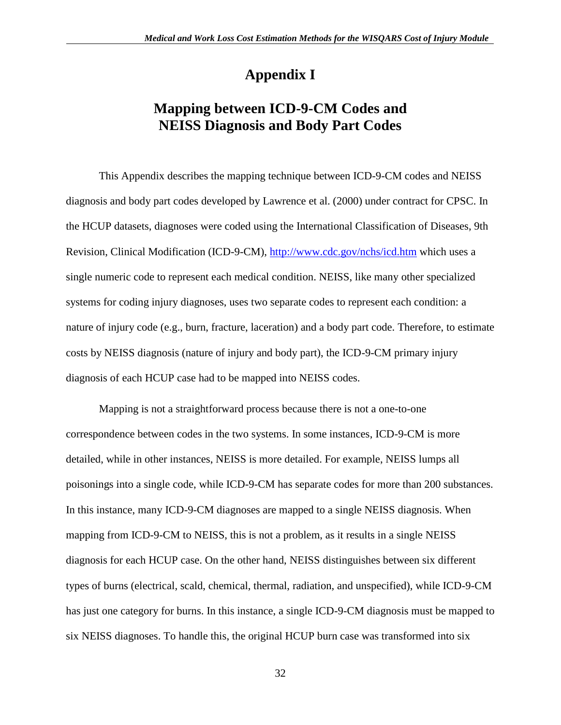# **Appendix I**

# **Mapping between ICD-9-CM Codes and NEISS Diagnosis and Body Part Codes**

This Appendix describes the mapping technique between ICD-9-CM codes and NEISS diagnosis and body part codes developed by Lawrence et al. (2000) under contract for CPSC. In the HCUP datasets, diagnoses were coded using the International Classification of Diseases, 9th Revision, Clinical Modification (ICD-9-CM), <http://www.cdc.gov/nchs/icd.htm> which uses a single numeric code to represent each medical condition. NEISS, like many other specialized systems for coding injury diagnoses, uses two separate codes to represent each condition: a nature of injury code (e.g., burn, fracture, laceration) and a body part code. Therefore, to estimate costs by NEISS diagnosis (nature of injury and body part), the ICD-9-CM primary injury diagnosis of each HCUP case had to be mapped into NEISS codes.

Mapping is not a straightforward process because there is not a one-to-one correspondence between codes in the two systems. In some instances, ICD-9-CM is more detailed, while in other instances, NEISS is more detailed. For example, NEISS lumps all poisonings into a single code, while ICD-9-CM has separate codes for more than 200 substances. In this instance, many ICD-9-CM diagnoses are mapped to a single NEISS diagnosis. When mapping from ICD-9-CM to NEISS, this is not a problem, as it results in a single NEISS diagnosis for each HCUP case. On the other hand, NEISS distinguishes between six different types of burns (electrical, scald, chemical, thermal, radiation, and unspecified), while ICD-9-CM has just one category for burns. In this instance, a single ICD-9-CM diagnosis must be mapped to six NEISS diagnoses. To handle this, the original HCUP burn case was transformed into six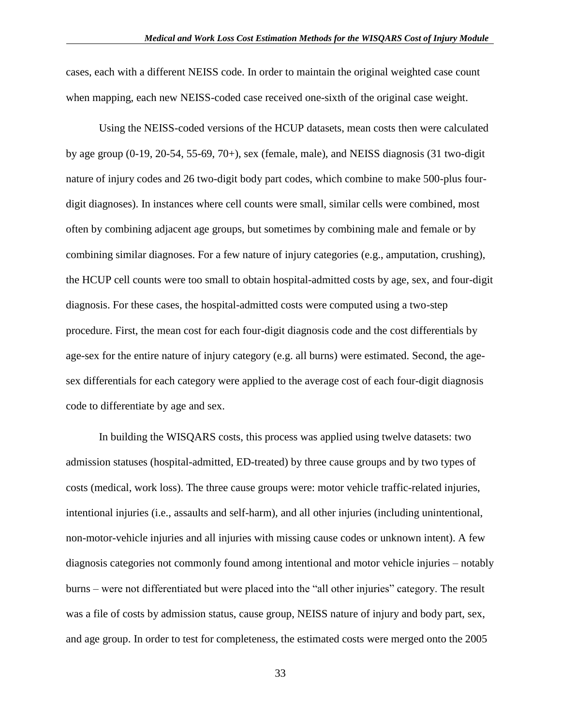cases, each with a different NEISS code. In order to maintain the original weighted case count when mapping, each new NEISS-coded case received one-sixth of the original case weight.

Using the NEISS-coded versions of the HCUP datasets, mean costs then were calculated by age group (0-19, 20-54, 55-69, 70+), sex (female, male), and NEISS diagnosis (31 two-digit nature of injury codes and 26 two-digit body part codes, which combine to make 500-plus fourdigit diagnoses). In instances where cell counts were small, similar cells were combined, most often by combining adjacent age groups, but sometimes by combining male and female or by combining similar diagnoses. For a few nature of injury categories (e.g., amputation, crushing), the HCUP cell counts were too small to obtain hospital-admitted costs by age, sex, and four-digit diagnosis. For these cases, the hospital-admitted costs were computed using a two-step procedure. First, the mean cost for each four-digit diagnosis code and the cost differentials by age-sex for the entire nature of injury category (e.g. all burns) were estimated. Second, the agesex differentials for each category were applied to the average cost of each four-digit diagnosis code to differentiate by age and sex.

In building the WISQARS costs, this process was applied using twelve datasets: two admission statuses (hospital-admitted, ED-treated) by three cause groups and by two types of costs (medical, work loss). The three cause groups were: motor vehicle traffic-related injuries, intentional injuries (i.e., assaults and self-harm), and all other injuries (including unintentional, non-motor-vehicle injuries and all injuries with missing cause codes or unknown intent). A few diagnosis categories not commonly found among intentional and motor vehicle injuries – notably burns – were not differentiated but were placed into the "all other injuries" category. The result was a file of costs by admission status, cause group, NEISS nature of injury and body part, sex, and age group. In order to test for completeness, the estimated costs were merged onto the 2005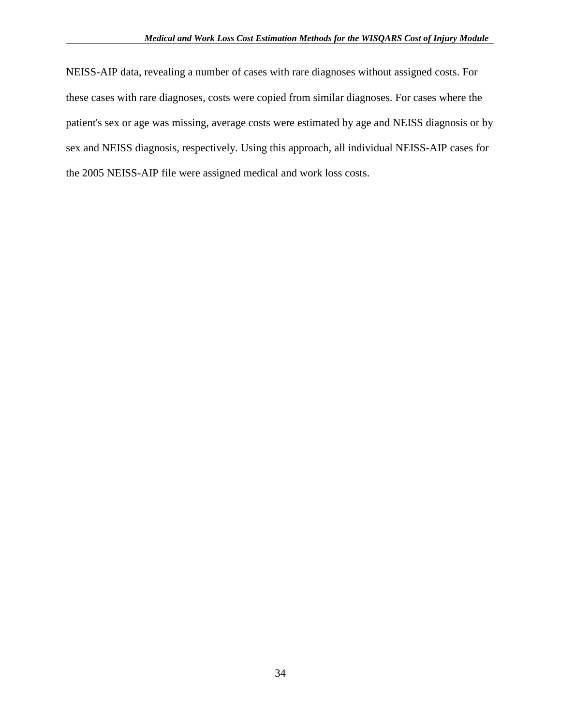NEISS-AIP data, revealing a number of cases with rare diagnoses without assigned costs. For these cases with rare diagnoses, costs were copied from similar diagnoses. For cases where the patient's sex or age was missing, average costs were estimated by age and NEISS diagnosis or by sex and NEISS diagnosis, respectively. Using this approach, all individual NEISS-AIP cases for the 2005 NEISS-AIP file were assigned medical and work loss costs.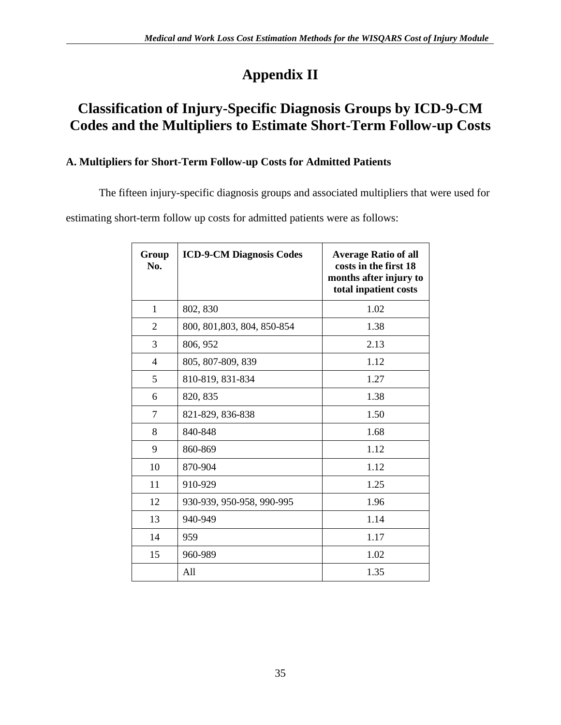# **Appendix II**

# **Classification of Injury-Specific Diagnosis Groups by ICD-9-CM Codes and the Multipliers to Estimate Short-Term Follow-up Costs**

## **A. Multipliers for Short-Term Follow-up Costs for Admitted Patients**

The fifteen injury-specific diagnosis groups and associated multipliers that were used for

estimating short-term follow up costs for admitted patients were as follows:

| Group<br>No.   | <b>ICD-9-CM Diagnosis Codes</b> | <b>Average Ratio of all</b><br>costs in the first 18<br>months after injury to<br>total inpatient costs |
|----------------|---------------------------------|---------------------------------------------------------------------------------------------------------|
| $\mathbf{1}$   | 802, 830                        | 1.02                                                                                                    |
| $\overline{2}$ | 800, 801, 803, 804, 850-854     | 1.38                                                                                                    |
| 3              | 806, 952                        | 2.13                                                                                                    |
| $\overline{4}$ | 805, 807-809, 839               | 1.12                                                                                                    |
| 5              | 810-819, 831-834                | 1.27                                                                                                    |
| 6              | 820, 835                        | 1.38                                                                                                    |
| 7              | 821-829, 836-838                | 1.50                                                                                                    |
| 8              | 840-848                         | 1.68                                                                                                    |
| 9              | 860-869                         | 1.12                                                                                                    |
| 10             | 870-904                         | 1.12                                                                                                    |
| 11             | 910-929                         | 1.25                                                                                                    |
| 12             | 930-939, 950-958, 990-995       | 1.96                                                                                                    |
| 13             | 940-949                         | 1.14                                                                                                    |
| 14             | 959                             | 1.17                                                                                                    |
| 15             | 960-989                         | 1.02                                                                                                    |
|                | All                             | 1.35                                                                                                    |